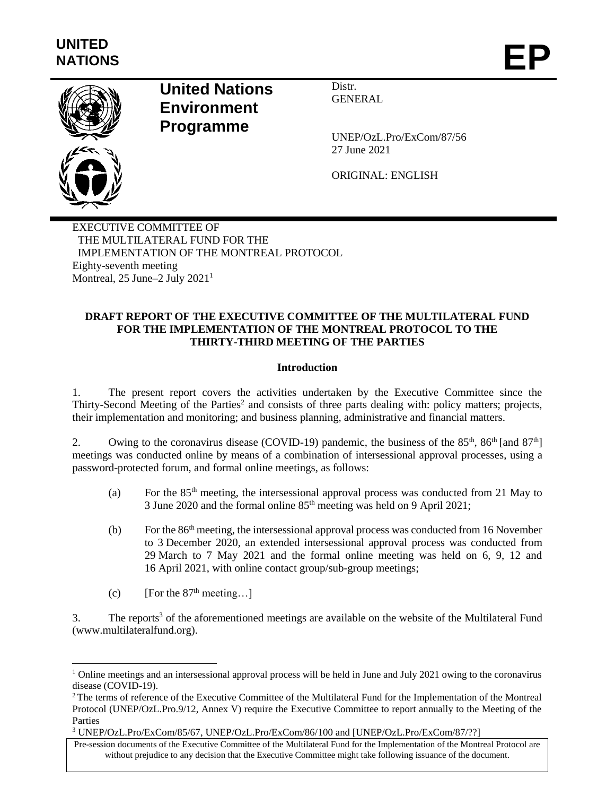

l

# **United Nations Environment Programme**

Distr. GENERAL

UNEP/OzL.Pro/ExCom/87/56 27 June 2021

ORIGINAL: ENGLISH

EXECUTIVE COMMITTEE OF THE MULTILATERAL FUND FOR THE IMPLEMENTATION OF THE MONTREAL PROTOCOL Eighty-seventh meeting Montreal, 25 June–2 July 2021<sup>1</sup>

## **DRAFT REPORT OF THE EXECUTIVE COMMITTEE OF THE MULTILATERAL FUND FOR THE IMPLEMENTATION OF THE MONTREAL PROTOCOL TO THE THIRTY-THIRD MEETING OF THE PARTIES**

### **Introduction**

1. The present report covers the activities undertaken by the Executive Committee since the Thirty-Second Meeting of the Parties<sup>2</sup> and consists of three parts dealing with: policy matters; projects, their implementation and monitoring; and business planning, administrative and financial matters.

2. Owing to the coronavirus disease (COVID-19) pandemic, the business of the  $85<sup>th</sup>$ ,  $86<sup>th</sup>$  [and  $87<sup>th</sup>$ ] meetings was conducted online by means of a combination of intersessional approval processes, using a password-protected forum, and formal online meetings, as follows:

- (a) For the 85th meeting, the intersessional approval process was conducted from 21 May to 3 June 2020 and the formal online 85th meeting was held on 9 April 2021;
- (b) For the  $86<sup>th</sup>$  meeting, the intersessional approval process was conducted from 16 November to 3 December 2020, an extended intersessional approval process was conducted from 29 March to 7 May 2021 and the formal online meeting was held on 6, 9, 12 and 16 April 2021, with online contact group/sub-group meetings;
- (c) [For the  $87<sup>th</sup>$  meeting...]

3. The reports<sup>3</sup> of the aforementioned meetings are available on the website of the Multilateral Fund [\(www.multilateralfund.org\)](http://www.multilateralfund.org/).

<sup>&</sup>lt;sup>1</sup> Online meetings and an intersessional approval process will be held in June and July 2021 owing to the coronavirus disease (COVID-19).

<sup>&</sup>lt;sup>2</sup>The terms of reference of the Executive Committee of the Multilateral Fund for the Implementation of the Montreal Protocol (UNEP/OzL.Pro.9/12, Annex V) require the Executive Committee to report annually to the Meeting of the Parties

<sup>3</sup> UNEP/OzL.Pro/ExCom/85/67, UNEP/OzL.Pro/ExCom/86/100 and [UNEP/OzL.Pro/ExCom/87/??]

Pre-session documents of the Executive Committee of the Multilateral Fund for the Implementation of the Montreal Protocol are without prejudice to any decision that the Executive Committee might take following issuance of the document.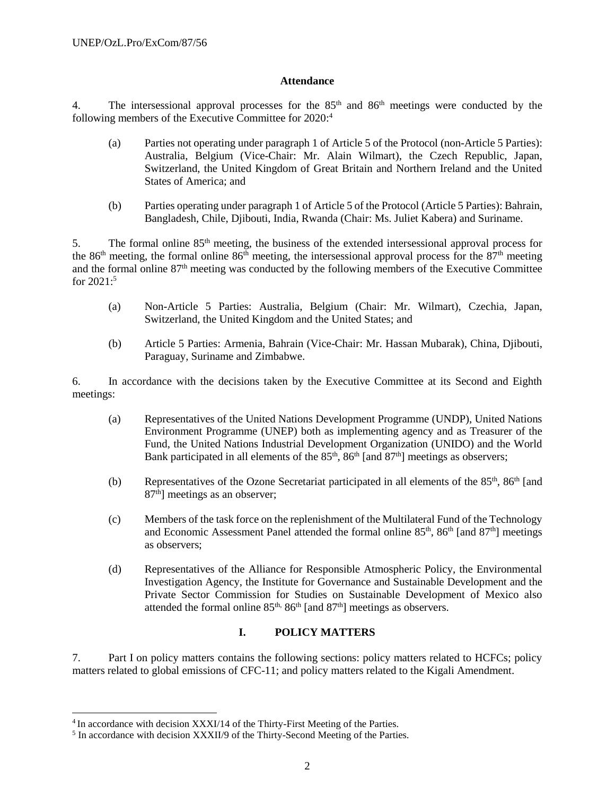### **Attendance**

4. The intersessional approval processes for the  $85<sup>th</sup>$  and  $86<sup>th</sup>$  meetings were conducted by the following members of the Executive Committee for 2020: 4

- (a) Parties not operating under paragraph 1 of Article 5 of the Protocol (non-Article 5 Parties): Australia, Belgium (Vice-Chair: Mr. Alain Wilmart), the Czech Republic, Japan, Switzerland, the United Kingdom of Great Britain and Northern Ireland and the United States of America; and
- (b) Parties operating under paragraph 1 of Article 5 of the Protocol (Article 5 Parties): Bahrain, Bangladesh, Chile, Djibouti, India, Rwanda (Chair: Ms. Juliet Kabera) and Suriname.

5. The formal online  $85<sup>th</sup>$  meeting, the business of the extended intersessional approval process for the 86<sup>th</sup> meeting, the formal online 86<sup>th</sup> meeting, the intersessional approval process for the  $87<sup>th</sup>$  meeting and the formal online 87<sup>th</sup> meeting was conducted by the following members of the Executive Committee for 2021: 5

- (a) Non-Article 5 Parties: Australia, Belgium (Chair: Mr. Wilmart), Czechia, Japan, Switzerland, the United Kingdom and the United States; and
- (b) Article 5 Parties: Armenia, Bahrain (Vice-Chair: Mr. Hassan Mubarak), China, Djibouti, Paraguay, Suriname and Zimbabwe.

6. In accordance with the decisions taken by the Executive Committee at its Second and Eighth meetings:

- (a) Representatives of the United Nations Development Programme (UNDP), United Nations Environment Programme (UNEP) both as implementing agency and as Treasurer of the Fund, the United Nations Industrial Development Organization (UNIDO) and the World Bank participated in all elements of the  $85<sup>th</sup>$ ,  $86<sup>th</sup>$  [and  $87<sup>th</sup>$ ] meetings as observers;
- (b) Representatives of the Ozone Secretariat participated in all elements of the  $85<sup>th</sup>$ ,  $86<sup>th</sup>$  [and 87<sup>th</sup>] meetings as an observer;
- (c) Members of the task force on the replenishment of the Multilateral Fund of the Technology and Economic Assessment Panel attended the formal online 85<sup>th</sup>, 86<sup>th</sup> [and 87<sup>th</sup>] meetings as observers;
- (d) Representatives of the Alliance for Responsible Atmospheric Policy, the Environmental Investigation Agency, the Institute for Governance and Sustainable Development and the Private Sector Commission for Studies on Sustainable Development of Mexico also attended the formal online  $85<sup>th</sup>$ ,  $86<sup>th</sup>$  [and  $87<sup>th</sup>$ ] meetings as observers.

# **I. POLICY MATTERS**

7. Part I on policy matters contains the following sections: policy matters related to HCFCs; policy matters related to global emissions of CFC-11; and policy matters related to the Kigali Amendment.

<sup>&</sup>lt;sup>4</sup> In accordance with decision XXXI/14 of the Thirty-First Meeting of the Parties.

<sup>&</sup>lt;sup>5</sup> In accordance with decision XXXII/9 of the Thirty-Second Meeting of the Parties.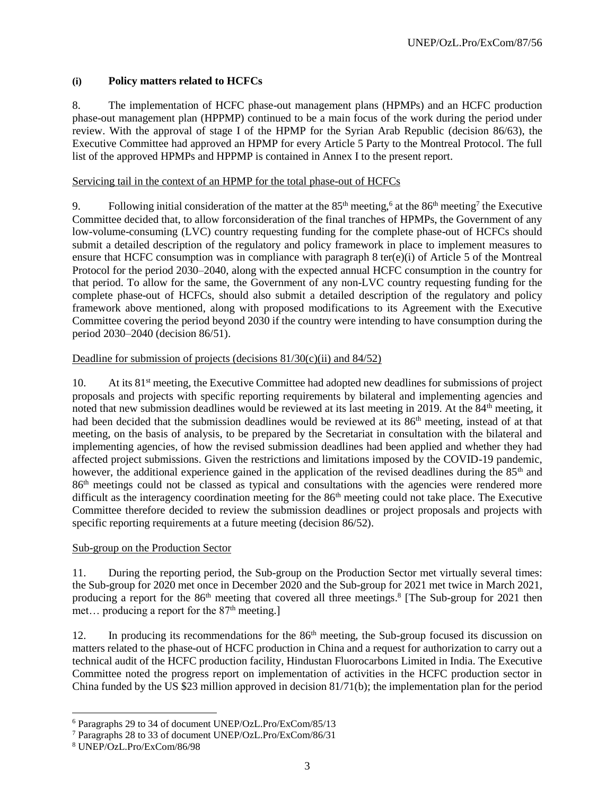# **(i) Policy matters related to HCFCs**

8. The implementation of HCFC phase-out management plans (HPMPs) and an HCFC production phase-out management plan (HPPMP) continued to be a main focus of the work during the period under review. With the approval of stage I of the HPMP for the Syrian Arab Republic (decision 86/63), the Executive Committee had approved an HPMP for every Article 5 Party to the Montreal Protocol. The full list of the approved HPMPs and HPPMP is contained in Annex I to the present report.

### Servicing tail in the context of an HPMP for the total phase-out of HCFCs

9. Following initial consideration of the matter at the  $85<sup>th</sup>$  meeting,<sup>6</sup> at the  $86<sup>th</sup>$  meeting<sup>7</sup> the Executive Committee decided that, to allow forconsideration of the final tranches of HPMPs, the Government of any low-volume-consuming (LVC) country requesting funding for the complete phase-out of HCFCs should submit a detailed description of the regulatory and policy framework in place to implement measures to ensure that HCFC consumption was in compliance with paragraph 8 ter(e)(i) of Article 5 of the Montreal Protocol for the period 2030–2040, along with the expected annual HCFC consumption in the country for that period. To allow for the same, the Government of any non-LVC country requesting funding for the complete phase-out of HCFCs, should also submit a detailed description of the regulatory and policy framework above mentioned, along with proposed modifications to its Agreement with the Executive Committee covering the period beyond 2030 if the country were intending to have consumption during the period 2030–2040 (decision 86/51).

### Deadline for submission of projects (decisions  $81/30(c)(ii)$  and  $84/52$ )

10. At its 81<sup>st</sup> meeting, the Executive Committee had adopted new deadlines for submissions of project proposals and projects with specific reporting requirements by bilateral and implementing agencies and noted that new submission deadlines would be reviewed at its last meeting in 2019. At the 84<sup>th</sup> meeting, it had been decided that the submission deadlines would be reviewed at its  $86<sup>th</sup>$  meeting, instead of at that meeting, on the basis of analysis, to be prepared by the Secretariat in consultation with the bilateral and implementing agencies, of how the revised submission deadlines had been applied and whether they had affected project submissions. Given the restrictions and limitations imposed by the COVID-19 pandemic, however, the additional experience gained in the application of the revised deadlines during the 85<sup>th</sup> and 86th meetings could not be classed as typical and consultations with the agencies were rendered more difficult as the interagency coordination meeting for the 86<sup>th</sup> meeting could not take place. The Executive Committee therefore decided to review the submission deadlines or project proposals and projects with specific reporting requirements at a future meeting (decision 86/52).

### Sub-group on the Production Sector

11. During the reporting period, the Sub-group on the Production Sector met virtually several times: the Sub-group for 2020 met once in December 2020 and the Sub-group for 2021 met twice in March 2021, producing a report for the 86<sup>th</sup> meeting that covered all three meetings.<sup>8</sup> [The Sub-group for 2021 then met... producing a report for the  $87<sup>th</sup>$  meeting.]

12. In producing its recommendations for the 86<sup>th</sup> meeting, the Sub-group focused its discussion on matters related to the phase-out of HCFC production in China and a request for authorization to carry out a technical audit of the HCFC production facility, Hindustan Fluorocarbons Limited in India. The Executive Committee noted the progress report on implementation of activities in the HCFC production sector in China funded by the US \$23 million approved in decision 81/71(b); the implementation plan for the period

<sup>6</sup> Paragraphs 29 to 34 of document UNEP/OzL.Pro/ExCom/85/13

<sup>7</sup> Paragraphs 28 to 33 of document UNEP/OzL.Pro/ExCom/86/31

<sup>8</sup> UNEP/OzL.Pro/ExCom/86/98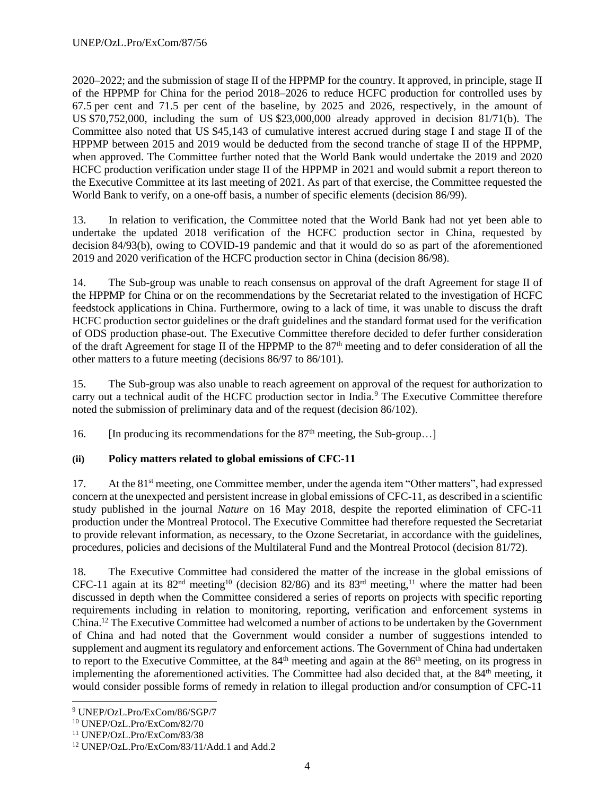2020–2022; and the submission of stage II of the HPPMP for the country. It approved, in principle, stage II of the HPPMP for China for the period 2018–2026 to reduce HCFC production for controlled uses by 67.5 per cent and 71.5 per cent of the baseline, by 2025 and 2026, respectively, in the amount of US \$70,752,000, including the sum of US \$23,000,000 already approved in decision 81/71(b). The Committee also noted that US \$45,143 of cumulative interest accrued during stage I and stage II of the HPPMP between 2015 and 2019 would be deducted from the second tranche of stage II of the HPPMP, when approved. The Committee further noted that the World Bank would undertake the 2019 and 2020 HCFC production verification under stage II of the HPPMP in 2021 and would submit a report thereon to the Executive Committee at its last meeting of 2021. As part of that exercise, the Committee requested the World Bank to verify, on a one-off basis, a number of specific elements (decision 86/99).

13. In relation to verification, the Committee noted that the World Bank had not yet been able to undertake the updated 2018 verification of the HCFC production sector in China, requested by decision 84/93(b), owing to COVID-19 pandemic and that it would do so as part of the aforementioned 2019 and 2020 verification of the HCFC production sector in China (decision 86/98).

14. The Sub-group was unable to reach consensus on approval of the draft Agreement for stage II of the HPPMP for China or on the recommendations by the Secretariat related to the investigation of HCFC feedstock applications in China. Furthermore, owing to a lack of time, it was unable to discuss the draft HCFC production sector guidelines or the draft guidelines and the standard format used for the verification of ODS production phase-out. The Executive Committee therefore decided to defer further consideration of the draft Agreement for stage II of the HPPMP to the 87<sup>th</sup> meeting and to defer consideration of all the other matters to a future meeting (decisions 86/97 to 86/101).

15. The Sub-group was also unable to reach agreement on approval of the request for authorization to carry out a technical audit of the HCFC production sector in India.<sup>9</sup> The Executive Committee therefore noted the submission of preliminary data and of the request (decision 86/102).

16. [In producing its recommendations for the  $87<sup>th</sup>$  meeting, the Sub-group...]

# **(ii) Policy matters related to global emissions of CFC-11**

17. At the 81<sup>st</sup> meeting, one Committee member, under the agenda item "Other matters", had expressed concern at the unexpected and persistent increase in global emissions of CFC-11, as described in a scientific study published in the journal *Nature* on 16 May 2018, despite the reported elimination of CFC-11 production under the Montreal Protocol. The Executive Committee had therefore requested the Secretariat to provide relevant information, as necessary, to the Ozone Secretariat, in accordance with the guidelines, procedures, policies and decisions of the Multilateral Fund and the Montreal Protocol (decision 81/72).

18. The Executive Committee had considered the matter of the increase in the global emissions of CFC-11 again at its 82<sup>nd</sup> meeting<sup>10</sup> (decision 82/86) and its 83<sup>rd</sup> meeting,<sup>11</sup> where the matter had been discussed in depth when the Committee considered a series of reports on projects with specific reporting requirements including in relation to monitoring, reporting, verification and enforcement systems in China.<sup>12</sup> The Executive Committee had welcomed a number of actions to be undertaken by the Government of China and had noted that the Government would consider a number of suggestions intended to supplement and augment its regulatory and enforcement actions. The Government of China had undertaken to report to the Executive Committee, at the  $84<sup>th</sup>$  meeting and again at the  $86<sup>th</sup>$  meeting, on its progress in implementing the aforementioned activities. The Committee had also decided that, at the 84<sup>th</sup> meeting, it would consider possible forms of remedy in relation to illegal production and/or consumption of CFC-11

l <sup>9</sup> UNEP/OzL.Pro/ExCom/86/SGP/7

<sup>10</sup> UNEP/OzL.Pro/ExCom/82/70

<sup>11</sup> UNEP/OzL.Pro/ExCom/83/38

<sup>12</sup> UNEP/OzL.Pro/ExCom/83/11/Add.1 and Add.2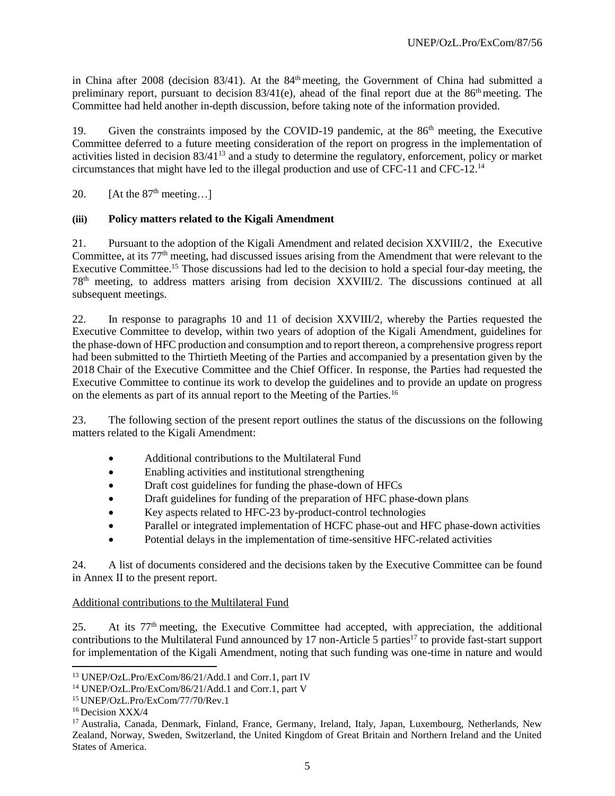in China after 2008 (decision  $83/41$ ). At the  $84<sup>th</sup>$  meeting, the Government of China had submitted a preliminary report, pursuant to decision  $83/41(e)$ , ahead of the final report due at the  $86<sup>th</sup>$  meeting. The Committee had held another in-depth discussion, before taking note of the information provided.

19. Given the constraints imposed by the COVID-19 pandemic, at the 86<sup>th</sup> meeting, the Executive Committee deferred to a future meeting consideration of the report on progress in the implementation of activities listed in decision 83/41<sup>13</sup> and a study to determine the regulatory, enforcement, policy or market circumstances that might have led to the illegal production and use of CFC-11 and CFC-12. 14

20. [At the  $87<sup>th</sup>$  meeting...]

### **(iii) Policy matters related to the Kigali Amendment**

21. Pursuant to the adoption of the Kigali Amendment and related decision XXVIII/2, the Executive Committee, at its 77<sup>th</sup> meeting, had discussed issues arising from the Amendment that were relevant to the Executive Committee.<sup>15</sup> Those discussions had led to the decision to hold a special four-day meeting, the 78th meeting, to address matters arising from decision XXVIII/2. The discussions continued at all subsequent meetings.

22. In response to paragraphs 10 and 11 of decision XXVIII/2, whereby the Parties requested the Executive Committee to develop, within two years of adoption of the Kigali Amendment, guidelines for the phase-down of HFC production and consumption and to report thereon, a comprehensive progress report had been submitted to the Thirtieth Meeting of the Parties and accompanied by a presentation given by the 2018 Chair of the Executive Committee and the Chief Officer. In response, the Parties had requested the Executive Committee to continue its work to develop the guidelines and to provide an update on progress on the elements as part of its annual report to the Meeting of the Parties.<sup>16</sup>

23. The following section of the present report outlines the status of the discussions on the following matters related to the Kigali Amendment:

- Additional contributions to the Multilateral Fund
- Enabling activities and institutional strengthening
- Draft cost guidelines for funding the phase-down of HFCs
- Draft guidelines for funding of the preparation of HFC phase-down plans
- Key aspects related to HFC-23 by-product-control technologies
- Parallel or integrated implementation of HCFC phase-out and HFC phase-down activities
- Potential delays in the implementation of time-sensitive HFC-related activities

24. A list of documents considered and the decisions taken by the Executive Committee can be found in Annex II to the present report.

### Additional contributions to the Multilateral Fund

25. At its 77th meeting, the Executive Committee had accepted, with appreciation, the additional contributions to the Multilateral Fund announced by 17 non-Article 5 parties<sup>17</sup> to provide fast-start support for implementation of the Kigali Amendment, noting that such funding was one-time in nature and would

<sup>13</sup> UNEP/OzL.Pro/ExCom/86/21/Add.1 and Corr.1, part IV

<sup>14</sup> UNEP/OzL.Pro/ExCom/86/21/Add.1 and Corr.1, part V

<sup>15</sup> UNEP/OzL.Pro/ExCom/77/70/Rev.1

<sup>&</sup>lt;sup>16</sup> Decision XXX/4

<sup>17</sup> Australia, Canada, Denmark, Finland, France, Germany, Ireland, Italy, Japan, Luxembourg, Netherlands, New Zealand, Norway, Sweden, Switzerland, the United Kingdom of Great Britain and Northern Ireland and the United States of America.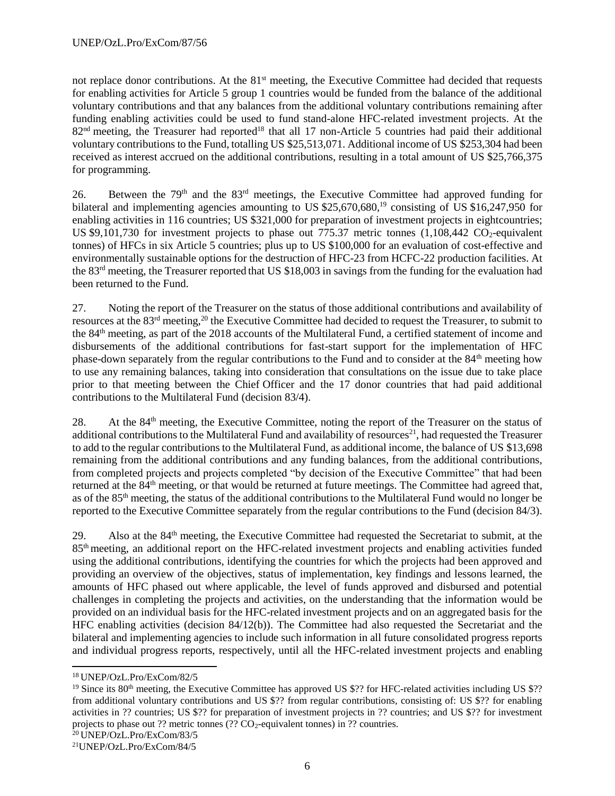not replace donor contributions. At the 81<sup>st</sup> meeting, the Executive Committee had decided that requests for enabling activities for Article 5 group 1 countries would be funded from the balance of the additional voluntary contributions and that any balances from the additional voluntary contributions remaining after funding enabling activities could be used to fund stand-alone HFC-related investment projects. At the 82<sup>nd</sup> meeting, the Treasurer had reported<sup>18</sup> that all 17 non-Article 5 countries had paid their additional voluntary contributions to the Fund, totalling US \$25,513,071. Additional income of US \$253,304 had been received as interest accrued on the additional contributions, resulting in a total amount of US \$25,766,375 for programming.

26. Between the 79th and the 83rd meetings, the Executive Committee had approved funding for bilateral and implementing agencies amounting to US \$25,670,680,<sup>19</sup> consisting of US \$16,247,950 for enabling activities in 116 countries; US \$321,000 for preparation of investment projects in eightcountries; US \$9,101,730 for investment projects to phase out 775.37 metric tonnes (1,108,442 CO2-equivalent tonnes) of HFCs in six Article 5 countries; plus up to US \$100,000 for an evaluation of cost-effective and environmentally sustainable options for the destruction of HFC-23 from HCFC-22 production facilities. At the 83rd meeting, the Treasurer reported that US \$18,003 in savings from the funding for the evaluation had been returned to the Fund.

27. Noting the report of the Treasurer on the status of those additional contributions and availability of resources at the 83rd meeting,<sup>20</sup> the Executive Committee had decided to request the Treasurer, to submit to the 84th meeting, as part of the 2018 accounts of the Multilateral Fund, a certified statement of income and disbursements of the additional contributions for fast-start support for the implementation of HFC phase-down separately from the regular contributions to the Fund and to consider at the 84<sup>th</sup> meeting how to use any remaining balances, taking into consideration that consultations on the issue due to take place prior to that meeting between the Chief Officer and the 17 donor countries that had paid additional contributions to the Multilateral Fund (decision 83/4).

28. At the 84th meeting, the Executive Committee, noting the report of the Treasurer on the status of additional contributions to the Multilateral Fund and availability of resources<sup>21</sup>, had requested the Treasurer to add to the regular contributions to the Multilateral Fund, as additional income, the balance of US \$13,698 remaining from the additional contributions and any funding balances, from the additional contributions, from completed projects and projects completed "by decision of the Executive Committee" that had been returned at the 84th meeting, or that would be returned at future meetings. The Committee had agreed that, as of the 85th meeting, the status of the additional contributions to the Multilateral Fund would no longer be reported to the Executive Committee separately from the regular contributions to the Fund (decision 84/3).

29. Also at the 84th meeting, the Executive Committee had requested the Secretariat to submit, at the 85th meeting, an additional report on the HFC-related investment projects and enabling activities funded using the additional contributions, identifying the countries for which the projects had been approved and providing an overview of the objectives, status of implementation, key findings and lessons learned, the amounts of HFC phased out where applicable, the level of funds approved and disbursed and potential challenges in completing the projects and activities, on the understanding that the information would be provided on an individual basis for the HFC-related investment projects and on an aggregated basis for the HFC enabling activities (decision 84/12(b)). The Committee had also requested the Secretariat and the bilateral and implementing agencies to include such information in all future consolidated progress reports and individual progress reports, respectively, until all the HFC-related investment projects and enabling

<sup>18</sup> UNEP/OzL.Pro/ExCom/82/5

<sup>&</sup>lt;sup>19</sup> Since its 80<sup>th</sup> meeting, the Executive Committee has approved US \$?? for HFC-related activities including US \$?? from additional voluntary contributions and US \$?? from regular contributions, consisting of: US \$?? for enabling activities in ?? countries; US \$?? for preparation of investment projects in ?? countries; and US \$?? for investment projects to phase out ?? metric tonnes  $(?? CO<sub>2</sub>$ -equivalent tonnes) in ?? countries.

<sup>20</sup> UNEP/OzL.Pro/ExCom/83/5

<sup>21</sup>UNEP/OzL.Pro/ExCom/84/5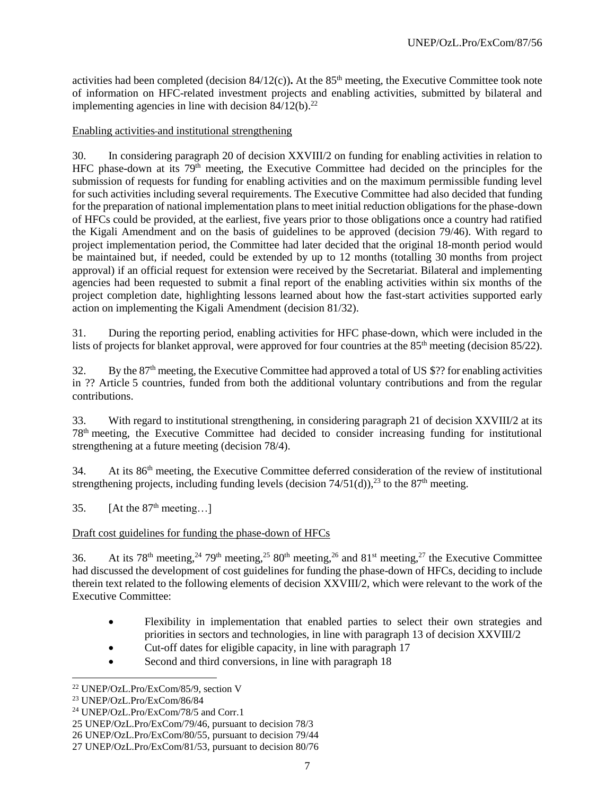activities had been completed (decision  $84/12(c)$ ). At the  $85<sup>th</sup>$  meeting, the Executive Committee took note of information on HFC-related investment projects and enabling activities, submitted by bilateral and implementing agencies in line with decision  $84/12(b)$ .<sup>22</sup>

### Enabling activities and institutional strengthening

30. In considering paragraph 20 of decision XXVIII/2 on funding for enabling activities in relation to HFC phase-down at its  $79<sup>th</sup>$  meeting, the Executive Committee had decided on the principles for the submission of requests for funding for enabling activities and on the maximum permissible funding level for such activities including several requirements. The Executive Committee had also decided that funding for the preparation of national implementation plans to meet initial reduction obligations for the phase-down of HFCs could be provided, at the earliest, five years prior to those obligations once a country had ratified the Kigali Amendment and on the basis of guidelines to be approved (decision 79/46). With regard to project implementation period, the Committee had later decided that the original 18-month period would be maintained but, if needed, could be extended by up to 12 months (totalling 30 months from project approval) if an official request for extension were received by the Secretariat. Bilateral and implementing agencies had been requested to submit a final report of the enabling activities within six months of the project completion date, highlighting lessons learned about how the fast-start activities supported early action on implementing the Kigali Amendment (decision 81/32).

31. During the reporting period, enabling activities for HFC phase-down, which were included in the lists of projects for blanket approval, were approved for four countries at the 85<sup>th</sup> meeting (decision 85/22).

32. By the  $87<sup>th</sup>$  meeting, the Executive Committee had approved a total of US \$?? for enabling activities in ?? Article 5 countries, funded from both the additional voluntary contributions and from the regular contributions.

33. With regard to institutional strengthening, in considering paragraph 21 of decision XXVIII/2 at its 78th meeting, the Executive Committee had decided to consider increasing funding for institutional strengthening at a future meeting (decision 78/4).

34. At its 86<sup>th</sup> meeting, the Executive Committee deferred consideration of the review of institutional strengthening projects, including funding levels (decision  $74/51(d)$ ),<sup>23</sup> to the  $87<sup>th</sup>$  meeting.

35. [At the  $87<sup>th</sup>$  meeting...]

### Draft cost guidelines for funding the phase-down of HFCs

36. At its 78<sup>th</sup> meeting,<sup>24</sup> 79<sup>th</sup> meeting,<sup>25</sup> 80<sup>th</sup> meeting,<sup>26</sup> and 81<sup>st</sup> meeting,<sup>27</sup> the Executive Committee had discussed the development of cost guidelines for funding the phase-down of HFCs, deciding to include therein text related to the following elements of decision XXVIII/2, which were relevant to the work of the Executive Committee:

- Flexibility in implementation that enabled parties to select their own strategies and priorities in sectors and technologies, in line with paragraph 13 of decision XXVIII/2
- Cut-off dates for eligible capacity, in line with paragraph 17
- Second and third conversions, in line with paragraph 18

l

<sup>24</sup> UNEP/OzL.Pro/ExCom/78/5 and Corr.1

<sup>22</sup> UNEP/OzL.Pro/ExCom/85/9, section V

<sup>23</sup> UNEP/OzL.Pro/ExCom/86/84

<sup>25</sup> UNEP/OzL.Pro/ExCom/79/46, pursuant to decision 78/3

<sup>26</sup> UNEP/OzL.Pro/ExCom/80/55, pursuant to decision 79/44

<sup>27</sup> UNEP/OzL.Pro/ExCom/81/53, pursuant to decision 80/76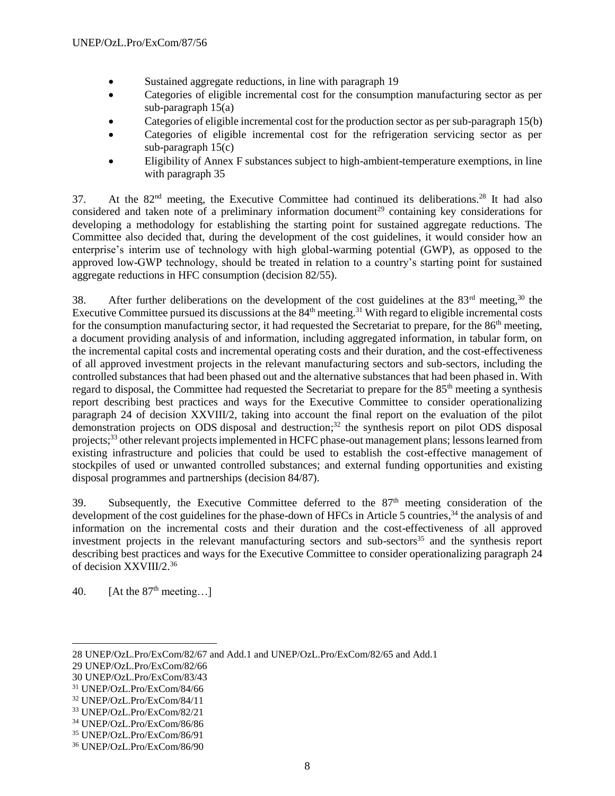- Sustained aggregate reductions, in line with paragraph 19
- Categories of eligible incremental cost for the consumption manufacturing sector as per sub-paragraph 15(a)
- Categories of eligible incremental cost for the production sector as per sub-paragraph 15(b)
- Categories of eligible incremental cost for the refrigeration servicing sector as per sub-paragraph 15(c)
- Eligibility of Annex F substances subject to high-ambient-temperature exemptions, in line with paragraph 35

37. At the 82<sup>nd</sup> meeting, the Executive Committee had continued its deliberations.<sup>28</sup> It had also considered and taken note of a preliminary information document<sup>29</sup> containing key considerations for developing a methodology for establishing the starting point for sustained aggregate reductions. The Committee also decided that, during the development of the cost guidelines, it would consider how an enterprise's interim use of technology with high global-warming potential (GWP), as opposed to the approved low-GWP technology, should be treated in relation to a country's starting point for sustained aggregate reductions in HFC consumption (decision 82/55).

38. After further deliberations on the development of the cost guidelines at the  $83<sup>rd</sup>$  meeting,<sup>30</sup> the Executive Committee pursued its discussions at the  $84<sup>th</sup>$  meeting.<sup>31</sup> With regard to eligible incremental costs for the consumption manufacturing sector, it had requested the Secretariat to prepare, for the 86<sup>th</sup> meeting, a document providing analysis of and information, including aggregated information, in tabular form, on the incremental capital costs and incremental operating costs and their duration, and the cost-effectiveness of all approved investment projects in the relevant manufacturing sectors and sub-sectors, including the controlled substances that had been phased out and the alternative substances that had been phased in. With regard to disposal, the Committee had requested the Secretariat to prepare for the 85th meeting a synthesis report describing best practices and ways for the Executive Committee to consider operationalizing paragraph 24 of decision XXVIII/2, taking into account the final report on the evaluation of the pilot demonstration projects on ODS disposal and destruction; <sup>32</sup> the synthesis report on pilot ODS disposal projects;<sup>33</sup> other relevant projects implemented in HCFC phase-out management plans; lessons learned from existing infrastructure and policies that could be used to establish the cost-effective management of stockpiles of used or unwanted controlled substances; and external funding opportunities and existing disposal programmes and partnerships (decision 84/87).

39. Subsequently, the Executive Committee deferred to the 87<sup>th</sup> meeting consideration of the development of the cost guidelines for the phase-down of HFCs in Article 5 countries,<sup>34</sup> the analysis of and information on the incremental costs and their duration and the cost-effectiveness of all approved investment projects in the relevant manufacturing sectors and sub-sectors<sup>35</sup> and the synthesis report describing best practices and ways for the Executive Committee to consider operationalizing paragraph 24 of decision XXVIII/2.<sup>36</sup>

40. [At the  $87<sup>th</sup>$  meeting...]

<sup>28</sup> UNEP/OzL.Pro/ExCom/82/67 and Add.1 and UNEP/OzL.Pro/ExCom/82/65 and Add.1

<sup>29</sup> UNEP/OzL.Pro/ExCom/82/66

<sup>30</sup> UNEP/OzL.Pro/ExCom/83/43

<sup>31</sup> UNEP/OzL.Pro/ExCom/84/66

<sup>32</sup> UNEP/OzL.Pro/ExCom/84/11

<sup>33</sup> UNEP/OzL.Pro/ExCom/82/21

<sup>34</sup> UNEP/OzL.Pro/ExCom/86/86

<sup>35</sup> UNEP/OzL.Pro/ExCom/86/91

<sup>36</sup> UNEP/OzL.Pro/ExCom/86/90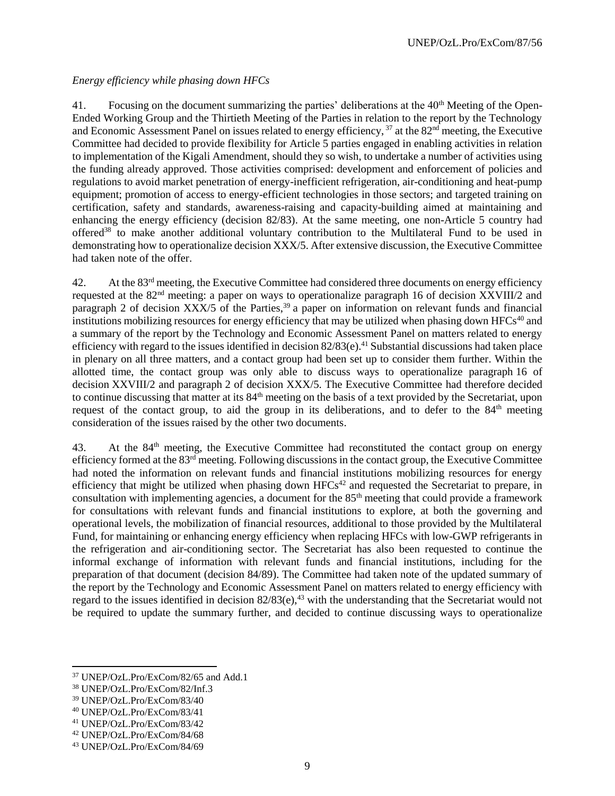# *Energy efficiency while phasing down HFCs*

41. Focusing on the document summarizing the parties' deliberations at the 40<sup>th</sup> Meeting of the Open-Ended Working Group and the Thirtieth Meeting of the Parties in relation to the report by the Technology and Economic Assessment Panel on issues related to energy efficiency,  $37$  at the  $82<sup>nd</sup>$  meeting, the Executive Committee had decided to provide flexibility for Article 5 parties engaged in enabling activities in relation to implementation of the Kigali Amendment, should they so wish, to undertake a number of activities using the funding already approved. Those activities comprised: development and enforcement of policies and regulations to avoid market penetration of energy-inefficient refrigeration, air-conditioning and heat-pump equipment; promotion of access to energy-efficient technologies in those sectors; and targeted training on certification, safety and standards, awareness-raising and capacity-building aimed at maintaining and enhancing the energy efficiency (decision 82/83). At the same meeting, one non-Article 5 country had offered<sup>38</sup> to make another additional voluntary contribution to the Multilateral Fund to be used in demonstrating how to operationalize decision XXX/5. After extensive discussion, the Executive Committee had taken note of the offer.

42. At the 83<sup>rd</sup> meeting, the Executive Committee had considered three documents on energy efficiency requested at the 82nd meeting: a paper on ways to operationalize paragraph 16 of decision XXVIII/2 and paragraph 2 of decision XXX/5 of the Parties,<sup>39</sup> a paper on information on relevant funds and financial institutions mobilizing resources for energy efficiency that may be utilized when phasing down HFCs<sup>40</sup> and a summary of the report by the Technology and Economic Assessment Panel on matters related to energy efficiency with regard to the issues identified in decision  $82/83$ (e).<sup>41</sup> Substantial discussions had taken place in plenary on all three matters, and a contact group had been set up to consider them further. Within the allotted time, the contact group was only able to discuss ways to operationalize paragraph 16 of decision XXVIII/2 and paragraph 2 of decision XXX/5. The Executive Committee had therefore decided to continue discussing that matter at its 84th meeting on the basis of a text provided by the Secretariat, upon request of the contact group, to aid the group in its deliberations, and to defer to the 84<sup>th</sup> meeting consideration of the issues raised by the other two documents.

43. At the 84<sup>th</sup> meeting, the Executive Committee had reconstituted the contact group on energy efficiency formed at the 83rd meeting. Following discussions in the contact group, the Executive Committee had noted the information on relevant funds and financial institutions mobilizing resources for energy efficiency that might be utilized when phasing down  $HFCs<sup>42</sup>$  and requested the Secretariat to prepare, in consultation with implementing agencies, a document for the 85<sup>th</sup> meeting that could provide a framework for consultations with relevant funds and financial institutions to explore, at both the governing and operational levels, the mobilization of financial resources, additional to those provided by the Multilateral Fund, for maintaining or enhancing energy efficiency when replacing HFCs with low-GWP refrigerants in the refrigeration and air-conditioning sector. The Secretariat has also been requested to continue the informal exchange of information with relevant funds and financial institutions, including for the preparation of that document (decision 84/89). The Committee had taken note of the updated summary of the report by the Technology and Economic Assessment Panel on matters related to energy efficiency with regard to the issues identified in decision 82/83(e),<sup>43</sup> with the understanding that the Secretariat would not be required to update the summary further, and decided to continue discussing ways to operationalize

<sup>37</sup> UNEP/OzL.Pro/ExCom/82/65 and Add.1

<sup>38</sup> UNEP/OzL.Pro/ExCom/82/Inf.3

<sup>39</sup> UNEP/OzL.Pro/ExCom/83/40

<sup>40</sup> UNEP/OzL.Pro/ExCom/83/41

<sup>41</sup> UNEP/OzL.Pro/ExCom/83/42

<sup>42</sup> UNEP/OzL.Pro/ExCom/84/68

<sup>43</sup> UNEP/OzL.Pro/ExCom/84/69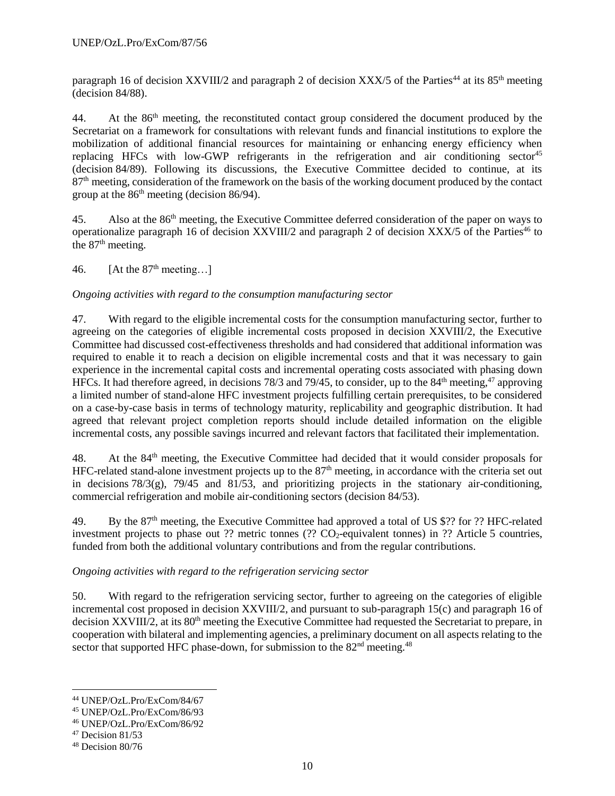paragraph 16 of decision XXVIII/2 and paragraph 2 of decision XXX/5 of the Parties<sup>44</sup> at its  $85<sup>th</sup>$  meeting (decision 84/88).

44. At the 86<sup>th</sup> meeting, the reconstituted contact group considered the document produced by the Secretariat on a framework for consultations with relevant funds and financial institutions to explore the mobilization of additional financial resources for maintaining or enhancing energy efficiency when replacing HFCs with low-GWP refrigerants in the refrigeration and air conditioning sector<sup>45</sup> (decision 84/89). Following its discussions, the Executive Committee decided to continue, at its 87<sup>th</sup> meeting, consideration of the framework on the basis of the working document produced by the contact group at the  $86<sup>th</sup>$  meeting (decision  $86/94$ ).

45. Also at the 86th meeting, the Executive Committee deferred consideration of the paper on ways to operationalize paragraph 16 of decision XXVIII/2 and paragraph 2 of decision XXX/5 of the Parties<sup>46</sup> to the  $87<sup>th</sup>$  meeting.

46. [At the  $87<sup>th</sup>$  meeting...]

### *Ongoing activities with regard to the consumption manufacturing sector*

47. With regard to the eligible incremental costs for the consumption manufacturing sector, further to agreeing on the categories of eligible incremental costs proposed in decision XXVIII/2, the Executive Committee had discussed cost-effectiveness thresholds and had considered that additional information was required to enable it to reach a decision on eligible incremental costs and that it was necessary to gain experience in the incremental capital costs and incremental operating costs associated with phasing down HFCs. It had therefore agreed, in decisions 78/3 and 79/45, to consider, up to the  $84<sup>th</sup>$  meeting,<sup>47</sup> approving a limited number of stand-alone HFC investment projects fulfilling certain prerequisites, to be considered on a case-by-case basis in terms of technology maturity, replicability and geographic distribution. It had agreed that relevant project completion reports should include detailed information on the eligible incremental costs, any possible savings incurred and relevant factors that facilitated their implementation.

48. At the 84th meeting, the Executive Committee had decided that it would consider proposals for HFC-related stand-alone investment projects up to the  $87<sup>th</sup>$  meeting, in accordance with the criteria set out in decisions  $78/3(g)$ ,  $79/45$  and  $81/53$ , and prioritizing projects in the stationary air-conditioning, commercial refrigeration and mobile air-conditioning sectors (decision 84/53).

49. By the 87<sup>th</sup> meeting, the Executive Committee had approved a total of US \$?? for ?? HFC-related investment projects to phase out ?? metric tonnes (??  $CO_2$ -equivalent tonnes) in ?? Article 5 countries, funded from both the additional voluntary contributions and from the regular contributions.

### *Ongoing activities with regard to the refrigeration servicing sector*

50. With regard to the refrigeration servicing sector, further to agreeing on the categories of eligible incremental cost proposed in decision XXVIII/2, and pursuant to sub-paragraph 15(c) and paragraph 16 of decision  $XXVIII/2$ , at its  $80<sup>th</sup>$  meeting the Executive Committee had requested the Secretariat to prepare, in cooperation with bilateral and implementing agencies, a preliminary document on all aspects relating to the sector that supported HFC phase-down, for submission to the  $82<sup>nd</sup>$  meeting.<sup>48</sup>

 $\overline{\phantom{a}}$ <sup>44</sup> UNEP/OzL.Pro/ExCom/84/67

<sup>45</sup> UNEP/OzL.Pro/ExCom/86/93

<sup>46</sup> UNEP/OzL.Pro/ExCom/86/92

 $47$  Decision 81/53

<sup>48</sup> Decision 80/76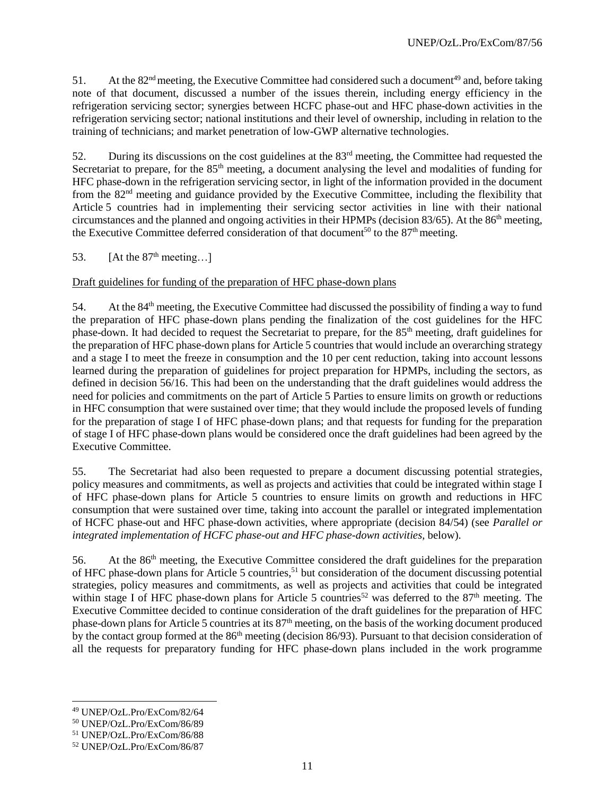51. At the  $82<sup>nd</sup>$  meeting, the Executive Committee had considered such a document<sup>49</sup> and, before taking note of that document, discussed a number of the issues therein, including energy efficiency in the refrigeration servicing sector; synergies between HCFC phase-out and HFC phase-down activities in the refrigeration servicing sector; national institutions and their level of ownership, including in relation to the training of technicians; and market penetration of low-GWP alternative technologies.

52. During its discussions on the cost guidelines at the 83rd meeting, the Committee had requested the Secretariat to prepare, for the 85<sup>th</sup> meeting, a document analysing the level and modalities of funding for HFC phase-down in the refrigeration servicing sector, in light of the information provided in the document from the 82nd meeting and guidance provided by the Executive Committee, including the flexibility that Article 5 countries had in implementing their servicing sector activities in line with their national circumstances and the planned and ongoing activities in their HPMPs (decision 83/65). At the 86<sup>th</sup> meeting, the Executive Committee deferred consideration of that document<sup>50</sup> to the  $87<sup>th</sup>$  meeting.

53.  $[At the 87<sup>th</sup> meeting...]$ 

### Draft guidelines for funding of the preparation of HFC phase-down plans

54. At the 84th meeting, the Executive Committee had discussed the possibility of finding a way to fund the preparation of HFC phase-down plans pending the finalization of the cost guidelines for the HFC phase-down. It had decided to request the Secretariat to prepare, for the 85<sup>th</sup> meeting, draft guidelines for the preparation of HFC phase-down plans for Article 5 countries that would include an overarching strategy and a stage I to meet the freeze in consumption and the 10 per cent reduction, taking into account lessons learned during the preparation of guidelines for project preparation for HPMPs, including the sectors, as defined in decision 56/16. This had been on the understanding that the draft guidelines would address the need for policies and commitments on the part of Article 5 Parties to ensure limits on growth or reductions in HFC consumption that were sustained over time; that they would include the proposed levels of funding for the preparation of stage I of HFC phase-down plans; and that requests for funding for the preparation of stage I of HFC phase-down plans would be considered once the draft guidelines had been agreed by the Executive Committee.

55. The Secretariat had also been requested to prepare a document discussing potential strategies, policy measures and commitments, as well as projects and activities that could be integrated within stage I of HFC phase-down plans for Article 5 countries to ensure limits on growth and reductions in HFC consumption that were sustained over time, taking into account the parallel or integrated implementation of HCFC phase-out and HFC phase-down activities, where appropriate (decision 84/54) (see *Parallel or integrated implementation of HCFC phase-out and HFC phase-down activities,* below).

56. At the 86th meeting, the Executive Committee considered the draft guidelines for the preparation of HFC phase-down plans for Article 5 countries, <sup>51</sup> but consideration of the document discussing potential strategies, policy measures and commitments, as well as projects and activities that could be integrated within stage I of HFC phase-down plans for Article 5 countries<sup>52</sup> was deferred to the  $87<sup>th</sup>$  meeting. The Executive Committee decided to continue consideration of the draft guidelines for the preparation of HFC phase-down plans for Article 5 countries at its 87th meeting, on the basis of the working document produced by the contact group formed at the 86<sup>th</sup> meeting (decision 86/93). Pursuant to that decision consideration of all the requests for preparatory funding for HFC phase-down plans included in the work programme

<sup>49</sup> UNEP/OzL.Pro/ExCom/82/64

<sup>50</sup> UNEP/OzL.Pro/ExCom/86/89

<sup>51</sup> UNEP/OzL.Pro/ExCom/86/88

<sup>52</sup> UNEP/OzL.Pro/ExCom/86/87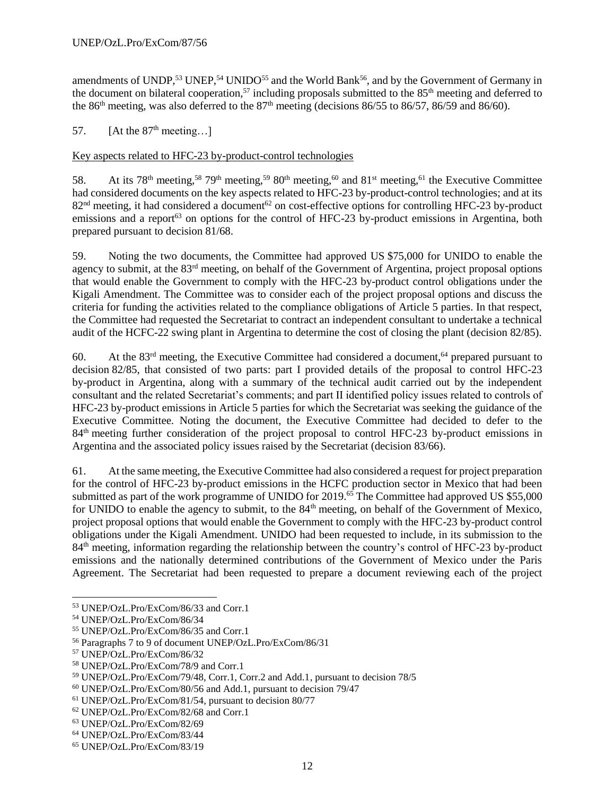amendments of UNDP,<sup>53</sup> UNEP,<sup>54</sup> UNIDO<sup>55</sup> and the World Bank<sup>56</sup>, and by the Government of Germany in the document on bilateral cooperation,<sup>57</sup> including proposals submitted to the  $85<sup>th</sup>$  meeting and deferred to the 86<sup>th</sup> meeting, was also deferred to the 87<sup>th</sup> meeting (decisions 86/55 to 86/57, 86/59 and 86/60).

57. [At the  $87<sup>th</sup>$  meeting...]

# Key aspects related to HFC-23 by-product-control technologies

58. At its 78<sup>th</sup> meeting,<sup>58</sup> 79<sup>th</sup> meeting,<sup>59</sup> 80<sup>th</sup> meeting,<sup>60</sup> and 81<sup>st</sup> meeting,<sup>61</sup> the Executive Committee had considered documents on the key aspects related to HFC-23 by-product-control technologies; and at its  $82<sup>nd</sup>$  meeting, it had considered a document<sup>62</sup> on cost-effective options for controlling HFC-23 by-product emissions and a report<sup>63</sup> on options for the control of HFC-23 by-product emissions in Argentina, both prepared pursuant to decision 81/68.

59. Noting the two documents, the Committee had approved US \$75,000 for UNIDO to enable the agency to submit, at the 83<sup>rd</sup> meeting, on behalf of the Government of Argentina, project proposal options that would enable the Government to comply with the HFC-23 by-product control obligations under the Kigali Amendment. The Committee was to consider each of the project proposal options and discuss the criteria for funding the activities related to the compliance obligations of Article 5 parties. In that respect, the Committee had requested the Secretariat to contract an independent consultant to undertake a technical audit of the HCFC-22 swing plant in Argentina to determine the cost of closing the plant (decision 82/85).

60. At the  $83<sup>rd</sup>$  meeting, the Executive Committee had considered a document,<sup>64</sup> prepared pursuant to decision 82/85, that consisted of two parts: part I provided details of the proposal to control HFC-23 by-product in Argentina, along with a summary of the technical audit carried out by the independent consultant and the related Secretariat's comments; and part II identified policy issues related to controls of HFC-23 by-product emissions in Article 5 parties for which the Secretariat was seeking the guidance of the Executive Committee. Noting the document, the Executive Committee had decided to defer to the 84<sup>th</sup> meeting further consideration of the project proposal to control HFC-23 by-product emissions in Argentina and the associated policy issues raised by the Secretariat (decision 83/66).

61. At the same meeting, the Executive Committee had also considered a request for project preparation for the control of HFC-23 by-product emissions in the HCFC production sector in Mexico that had been submitted as part of the work programme of UNIDO for 2019.<sup>65</sup> The Committee had approved US \$55,000 for UNIDO to enable the agency to submit, to the 84<sup>th</sup> meeting, on behalf of the Government of Mexico, project proposal options that would enable the Government to comply with the HFC-23 by-product control obligations under the Kigali Amendment. UNIDO had been requested to include, in its submission to the 84<sup>th</sup> meeting, information regarding the relationship between the country's control of HFC-23 by-product emissions and the nationally determined contributions of the Government of Mexico under the Paris Agreement. The Secretariat had been requested to prepare a document reviewing each of the project

<sup>53</sup> UNEP/OzL.Pro/ExCom/86/33 and Corr.1

<sup>54</sup> UNEP/OzL.Pro/ExCom/86/34

<sup>55</sup> UNEP/OzL.Pro/ExCom/86/35 and Corr.1

<sup>56</sup> Paragraphs 7 to 9 of document UNEP/OzL.Pro/ExCom/86/31

<sup>57</sup> UNEP/OzL.Pro/ExCom/86/32

<sup>58</sup> UNEP/OzL.Pro/ExCom/78/9 and Corr.1

<sup>59</sup> UNEP/OzL.Pro/ExCom/79/48, Corr.1, Corr.2 and Add.1, pursuant to decision 78/5

<sup>60</sup> UNEP/OzL.Pro/ExCom/80/56 and Add.1, pursuant to decision 79/47

<sup>61</sup> UNEP/OzL.Pro/ExCom/81/54, pursuant to decision 80/77

<sup>62</sup> UNEP/OzL.Pro/ExCom/82/68 and Corr.1

<sup>63</sup> UNEP/OzL.Pro/ExCom/82/69

<sup>64</sup> UNEP/OzL.Pro/ExCom/83/44

<sup>65</sup> UNEP/OzL.Pro/ExCom/83/19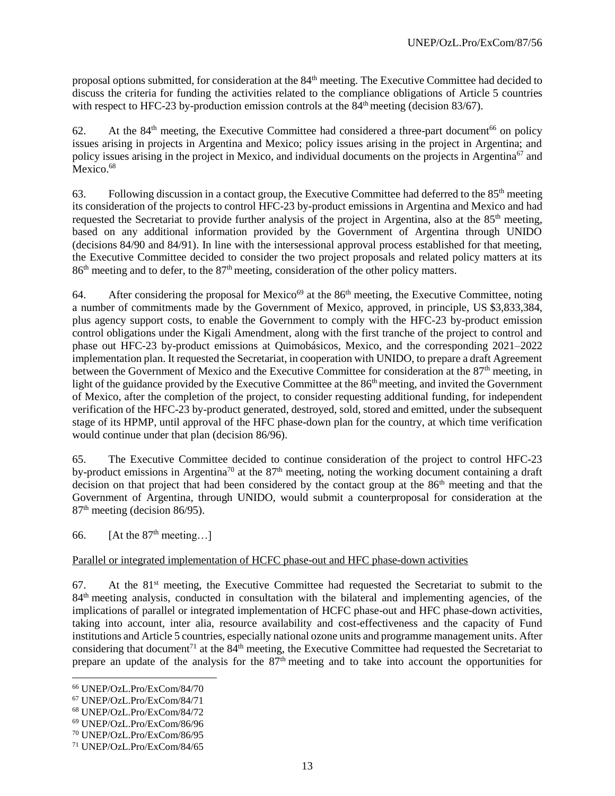proposal options submitted, for consideration at the 84<sup>th</sup> meeting. The Executive Committee had decided to discuss the criteria for funding the activities related to the compliance obligations of Article 5 countries with respect to HFC-23 by-production emission controls at the  $84<sup>th</sup>$  meeting (decision 83/67).

62. At the  $84<sup>th</sup>$  meeting, the Executive Committee had considered a three-part document<sup>66</sup> on policy issues arising in projects in Argentina and Mexico; policy issues arising in the project in Argentina; and policy issues arising in the project in Mexico, and individual documents on the projects in Argentina<sup>67</sup> and Mexico.<sup>68</sup>

63. Following discussion in a contact group, the Executive Committee had deferred to the  $85<sup>th</sup>$  meeting its consideration of the projects to control HFC-23 by-product emissions in Argentina and Mexico and had requested the Secretariat to provide further analysis of the project in Argentina, also at the 85<sup>th</sup> meeting, based on any additional information provided by the Government of Argentina through UNIDO (decisions 84/90 and 84/91). In line with the intersessional approval process established for that meeting, the Executive Committee decided to consider the two project proposals and related policy matters at its  $86<sup>th</sup>$  meeting and to defer, to the  $87<sup>th</sup>$  meeting, consideration of the other policy matters.

64. After considering the proposal for Mexico<sup>69</sup> at the  $86<sup>th</sup>$  meeting, the Executive Committee, noting a number of commitments made by the Government of Mexico, approved, in principle, US \$3,833,384, plus agency support costs, to enable the Government to comply with the HFC-23 by-product emission control obligations under the Kigali Amendment, along with the first tranche of the project to control and phase out HFC-23 by-product emissions at Quimobásicos, Mexico, and the corresponding 2021–2022 implementation plan. It requested the Secretariat, in cooperation with UNIDO, to prepare a draft Agreement between the Government of Mexico and the Executive Committee for consideration at the 87<sup>th</sup> meeting, in light of the guidance provided by the Executive Committee at the 86<sup>th</sup> meeting, and invited the Government of Mexico, after the completion of the project, to consider requesting additional funding, for independent verification of the HFC-23 by-product generated, destroyed, sold, stored and emitted, under the subsequent stage of its HPMP, until approval of the HFC phase-down plan for the country, at which time verification would continue under that plan (decision 86/96).

65. The Executive Committee decided to continue consideration of the project to control HFC-23 by-product emissions in Argentina<sup>70</sup> at the 87<sup>th</sup> meeting, noting the working document containing a draft decision on that project that had been considered by the contact group at the 86<sup>th</sup> meeting and that the Government of Argentina, through UNIDO, would submit a counterproposal for consideration at the 87<sup>th</sup> meeting (decision 86/95).

66. [At the  $87<sup>th</sup>$  meeting...]

### Parallel or integrated implementation of HCFC phase-out and HFC phase-down activities

 $67.$  At the  $81<sup>st</sup>$  meeting, the Executive Committee had requested the Secretariat to submit to the 84th meeting analysis, conducted in consultation with the bilateral and implementing agencies, of the implications of parallel or integrated implementation of HCFC phase-out and HFC phase-down activities, taking into account, inter alia, resource availability and cost-effectiveness and the capacity of Fund institutions and Article 5 countries, especially national ozone units and programme management units. After considering that document<sup>71</sup> at the  $84<sup>th</sup>$  meeting, the Executive Committee had requested the Secretariat to prepare an update of the analysis for the 87<sup>th</sup> meeting and to take into account the opportunities for

<sup>66</sup> UNEP/OzL.Pro/ExCom/84/70

<sup>67</sup> UNEP/OzL.Pro/ExCom/84/71

<sup>68</sup> UNEP/OzL.Pro/ExCom/84/72

<sup>69</sup> UNEP/OzL.Pro/ExCom/86/96

<sup>70</sup> UNEP/OzL.Pro/ExCom/86/95

<sup>71</sup> UNEP/OzL.Pro/ExCom/84/65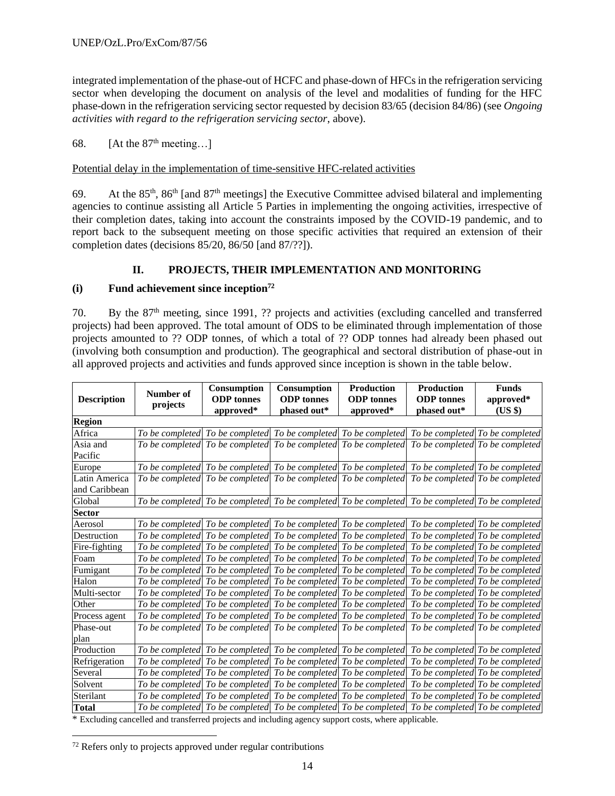integrated implementation of the phase-out of HCFC and phase-down of HFCs in the refrigeration servicing sector when developing the document on analysis of the level and modalities of funding for the HFC phase-down in the refrigeration servicing sector requested by decision 83/65 (decision 84/86) (see *Ongoing activities with regard to the refrigeration servicing sector*, above).

68. [At the  $87<sup>th</sup>$  meeting...]

Potential delay in the implementation of time-sensitive HFC-related activities

69. At the  $85<sup>th</sup>$ ,  $86<sup>th</sup>$  [and  $87<sup>th</sup>$  meetings] the Executive Committee advised bilateral and implementing agencies to continue assisting all Article 5 Parties in implementing the ongoing activities, irrespective of their completion dates, taking into account the constraints imposed by the COVID-19 pandemic, and to report back to the subsequent meeting on those specific activities that required an extension of their completion dates (decisions 85/20, 86/50 [and 87/??]).

# **II. PROJECTS, THEIR IMPLEMENTATION AND MONITORING**

### **(i) Fund achievement since inception<sup>72</sup>**

70. By the 87<sup>th</sup> meeting, since 1991, ?? projects and activities (excluding cancelled and transferred projects) had been approved. The total amount of ODS to be eliminated through implementation of those projects amounted to ?? ODP tonnes, of which a total of ?? ODP tonnes had already been phased out (involving both consumption and production). The geographical and sectoral distribution of phase-out in all approved projects and activities and funds approved since inception is shown in the table below.

| <b>Description</b>             | Number of<br>projects | Consumption<br><b>ODP</b> tonnes<br>approved* | <b>Consumption</b><br><b>ODP</b> tonnes<br>phased out* | <b>Production</b><br><b>ODP</b> tonnes<br>approved*                                                  | <b>Production</b><br><b>ODP</b> tonnes<br>phased out* | <b>Funds</b><br>approved*<br>$(US \$ |
|--------------------------------|-----------------------|-----------------------------------------------|--------------------------------------------------------|------------------------------------------------------------------------------------------------------|-------------------------------------------------------|--------------------------------------|
| <b>Region</b>                  |                       |                                               |                                                        |                                                                                                      |                                                       |                                      |
| Africa                         |                       |                                               |                                                        | To be completed To be completed To be completed To be completed                                      |                                                       | To be completed To be completed      |
| Asia and<br>Pacific            |                       |                                               |                                                        | To be completed To be completed To be completed To be completed                                      |                                                       | To be completed To be completed      |
| Europe                         |                       |                                               |                                                        | To be completed To be completed To be completed To be completed To be completed To be completed      |                                                       |                                      |
| Latin America<br>and Caribbean |                       |                                               |                                                        | To be completed To be completed To be completed To be completed To be completed To be completed      |                                                       |                                      |
| Global                         |                       |                                               |                                                        | To be completed To be completed To be completed To be completed To be completed To be completed      |                                                       |                                      |
| <b>Sector</b>                  |                       |                                               |                                                        |                                                                                                      |                                                       |                                      |
| Aerosol                        |                       |                                               |                                                        | To be completed To be completed To be completed To be completed To be completed To be completed      |                                                       |                                      |
| Destruction                    |                       |                                               |                                                        | To be completed To be completed To be completed To be completed                                      | To be completed To be completed                       |                                      |
| Fire-fighting                  |                       |                                               |                                                        | To be completed  To be completed  To be completed  To be completed  To be completed  To be completed |                                                       |                                      |
| Foam                           |                       |                                               |                                                        | To be completed To be completed To be completed To be completed                                      | To be completed To be completed                       |                                      |
| Fumigant                       |                       |                                               |                                                        | To be completed To be completed To be completed To be completed                                      | To be completed To be completed                       |                                      |
| Halon                          |                       |                                               |                                                        | To be completed To be completed To be completed To be completed                                      | To be completed To be completed                       |                                      |
| Multi-sector                   |                       |                                               |                                                        | To be completed To be completed To be completed To be completed                                      | To be completed To be completed                       |                                      |
| Other                          |                       |                                               |                                                        | To be completed To be completed To be completed To be completed                                      | To be completed To be completed                       |                                      |
| Process agent                  |                       |                                               |                                                        | To be completed To be completed To be completed To be completed                                      | To be completed To be completed                       |                                      |
| Phase-out                      |                       |                                               |                                                        | To be completed To be completed To be completed To be completed To be completed To be completed      |                                                       |                                      |
| plan                           |                       |                                               |                                                        |                                                                                                      |                                                       |                                      |
| Production                     |                       |                                               |                                                        | To be completed To be completed To be completed To be completed To be completed To be completed      |                                                       |                                      |
| Refrigeration                  |                       |                                               |                                                        | To be completed To be completed To be completed To be completed                                      | To be completed To be completed                       |                                      |
| Several                        |                       |                                               |                                                        | To be completed To be completed To be completed To be completed                                      | To be completed To be completed                       |                                      |
| Solvent                        |                       |                                               |                                                        | To be completed To be completed To be completed To be completed                                      | To be completed To be completed                       |                                      |
| Sterilant                      |                       |                                               |                                                        | To be completed To be completed To be completed To be completed To be completed To be completed      |                                                       |                                      |
| <b>Total</b>                   |                       |                                               |                                                        | To be completed To be completed To be completed To be completed To be completed To be completed      |                                                       |                                      |

\* Excluding cancelled and transferred projects and including agency support costs, where applicable.

 $\overline{a}$  $72$  Refers only to projects approved under regular contributions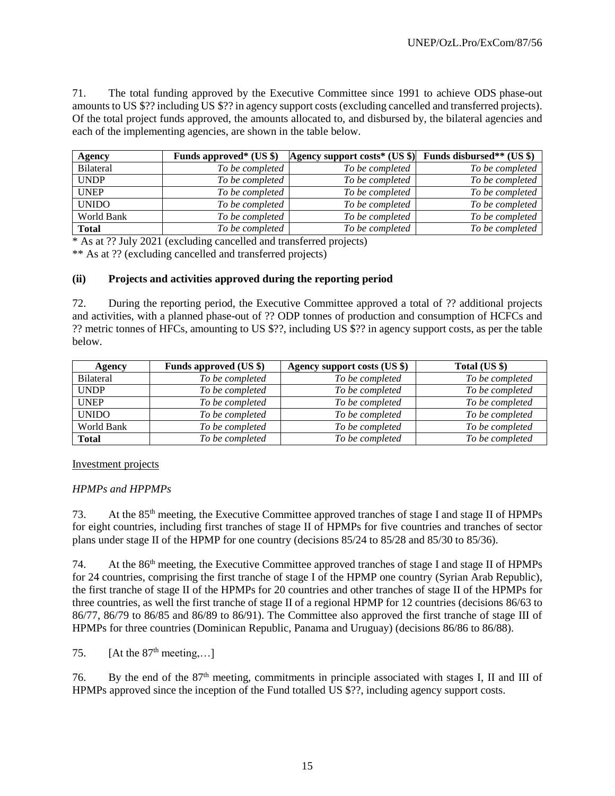71. The total funding approved by the Executive Committee since 1991 to achieve ODS phase-out amounts to US \$?? including US \$?? in agency support costs (excluding cancelled and transferred projects). Of the total project funds approved, the amounts allocated to, and disbursed by, the bilateral agencies and each of the implementing agencies, are shown in the table below.

| <b>Agency</b>    | Funds approved* $(US $)$ | Agency support costs* (US $\parallel$ ) Funds disbursed** (US $\parallel$ ) |                 |
|------------------|--------------------------|-----------------------------------------------------------------------------|-----------------|
| <b>Bilateral</b> | To be completed          | To be completed                                                             | To be completed |
| <b>UNDP</b>      | To be completed          | To be completed                                                             | To be completed |
| <b>UNEP</b>      | To be completed          | To be completed                                                             | To be completed |
| <b>UNIDO</b>     | To be completed          | To be completed                                                             | To be completed |
| World Bank       | To be completed          | To be completed                                                             | To be completed |
| <b>Total</b>     | To be completed          | To be completed                                                             | To be completed |

\* As at ?? July 2021 (excluding cancelled and transferred projects)

\*\* As at ?? (excluding cancelled and transferred projects)

### **(ii) Projects and activities approved during the reporting period**

72. During the reporting period, the Executive Committee approved a total of ?? additional projects and activities, with a planned phase-out of ?? ODP tonnes of production and consumption of HCFCs and ?? metric tonnes of HFCs, amounting to US \$??, including US \$?? in agency support costs, as per the table below.

| Agency           | Funds approved (US \$) | Agency support costs (US \$) | Total (US \$)   |
|------------------|------------------------|------------------------------|-----------------|
| <b>Bilateral</b> | To be completed        | To be completed              | To be completed |
| <b>UNDP</b>      | To be completed        | To be completed              | To be completed |
| <b>UNEP</b>      | To be completed        | To be completed              | To be completed |
| <b>UNIDO</b>     | To be completed        | To be completed              | To be completed |
| World Bank       | To be completed        | To be completed              | To be completed |
| <b>Total</b>     | To be completed        | To be completed              | To be completed |

### Investment projects

### *HPMPs and HPPMPs*

73. At the 85<sup>th</sup> meeting, the Executive Committee approved tranches of stage I and stage II of HPMPs for eight countries, including first tranches of stage II of HPMPs for five countries and tranches of sector plans under stage II of the HPMP for one country (decisions 85/24 to 85/28 and 85/30 to 85/36).

74. At the 86<sup>th</sup> meeting, the Executive Committee approved tranches of stage I and stage II of HPMPs for 24 countries, comprising the first tranche of stage I of the HPMP one country (Syrian Arab Republic), the first tranche of stage II of the HPMPs for 20 countries and other tranches of stage II of the HPMPs for three countries, as well the first tranche of stage II of a regional HPMP for 12 countries (decisions 86/63 to 86/77, 86/79 to 86/85 and 86/89 to 86/91). The Committee also approved the first tranche of stage III of HPMPs for three countries (Dominican Republic, Panama and Uruguay) (decisions 86/86 to 86/88).

75.  $[At the 87<sup>th</sup> meeting,...]$ 

76. By the end of the 87th meeting, commitments in principle associated with stages I, II and III of HPMPs approved since the inception of the Fund totalled US \$??, including agency support costs.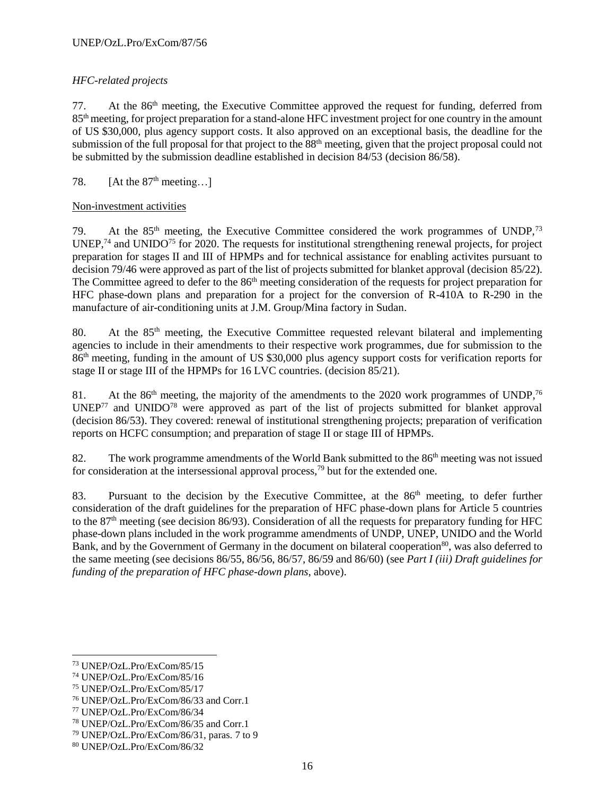# *HFC-related projects*

77. At the  $86<sup>th</sup>$  meeting, the Executive Committee approved the request for funding, deferred from 85th meeting, for project preparation for a stand-alone HFC investment project for one country in the amount of US \$30,000, plus agency support costs. It also approved on an exceptional basis, the deadline for the submission of the full proposal for that project to the 88<sup>th</sup> meeting, given that the project proposal could not be submitted by the submission deadline established in decision 84/53 (decision 86/58).

# 78.  $[At the 87<sup>th</sup> meeting...]$

### Non-investment activities

79. At the 85<sup>th</sup> meeting, the Executive Committee considered the work programmes of UNDP,<sup>73</sup> UNEP,<sup>74</sup> and UNIDO<sup>75</sup> for 2020. The requests for institutional strengthening renewal projects, for project preparation for stages II and III of HPMPs and for technical assistance for enabling activites pursuant to decision 79/46 were approved as part of the list of projects submitted for blanket approval (decision 85/22). The Committee agreed to defer to the 86<sup>th</sup> meeting consideration of the requests for project preparation for HFC phase-down plans and preparation for a project for the conversion of R-410A to R-290 in the manufacture of air-conditioning units at J.M. Group/Mina factory in Sudan.

80. At the 85<sup>th</sup> meeting, the Executive Committee requested relevant bilateral and implementing agencies to include in their amendments to their respective work programmes, due for submission to the 86th meeting, funding in the amount of US \$30,000 plus agency support costs for verification reports for stage II or stage III of the HPMPs for 16 LVC countries. (decision 85/21).

81. At the  $86<sup>th</sup>$  meeting, the majority of the amendments to the 2020 work programmes of UNDP,<sup>76</sup>  $UNEP<sup>77</sup>$  and  $UNIDO<sup>78</sup>$  were approved as part of the list of projects submitted for blanket approval (decision 86/53). They covered: renewal of institutional strengthening projects; preparation of verification reports on HCFC consumption; and preparation of stage II or stage III of HPMPs.

82. The work programme amendments of the World Bank submitted to the 86<sup>th</sup> meeting was not issued for consideration at the intersessional approval process,  $^{79}$  but for the extended one.

83. Pursuant to the decision by the Executive Committee, at the 86<sup>th</sup> meeting, to defer further consideration of the draft guidelines for the preparation of HFC phase-down plans for Article 5 countries to the 87th meeting (see decision 86/93). Consideration of all the requests for preparatory funding for HFC phase-down plans included in the work programme amendments of UNDP, UNEP, UNIDO and the World Bank, and by the Government of Germany in the document on bilateral cooperation<sup>80</sup>, was also deferred to the same meeting (see decisions 86/55, 86/56, 86/57, 86/59 and 86/60) (see *Part I (iii) Draft guidelines for funding of the preparation of HFC phase-down plans*, above).

 $\overline{\phantom{a}}$ 

<sup>73</sup> UNEP/OzL.Pro/ExCom/85/15

<sup>74</sup> UNEP/OzL.Pro/ExCom/85/16

<sup>75</sup> UNEP/OzL.Pro/ExCom/85/17

<sup>76</sup> UNEP/OzL.Pro/ExCom/86/33 and Corr.1

<sup>77</sup> UNEP/OzL.Pro/ExCom/86/34

<sup>78</sup> UNEP/OzL.Pro/ExCom/86/35 and Corr.1

<sup>79</sup> UNEP/OzL.Pro/ExCom/86/31, paras. 7 to 9

<sup>80</sup> UNEP/OzL.Pro/ExCom/86/32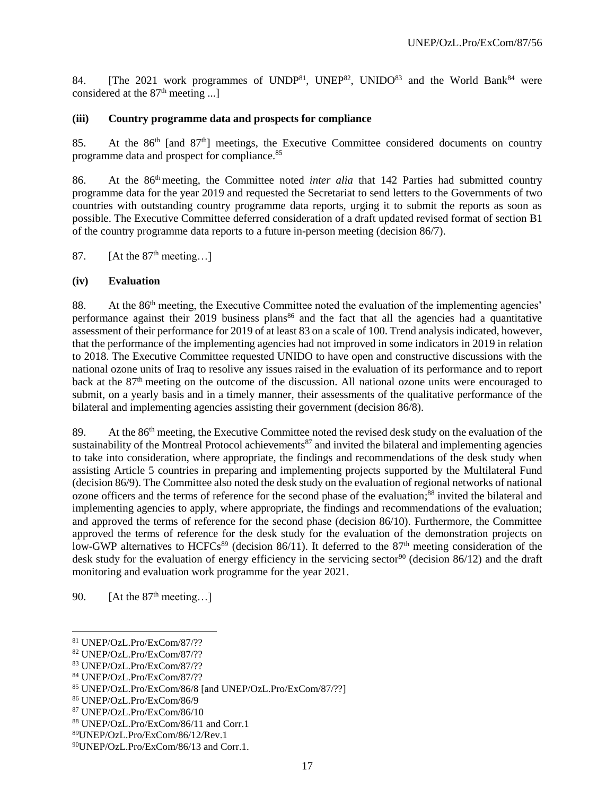84. [The 2021 work programmes of UNDP<sup>81</sup>, UNEP<sup>82</sup>, UNIDO<sup>83</sup> and the World Bank<sup>84</sup> were considered at the  $87<sup>th</sup>$  meeting ...]

### **(iii) Country programme data and prospects for compliance**

85. At the  $86<sup>th</sup>$  [and  $87<sup>th</sup>$ ] meetings, the Executive Committee considered documents on country programme data and prospect for compliance.<sup>85</sup>

86. At the 86<sup>th</sup> meeting, the Committee noted *inter alia* that 142 Parties had submitted country programme data for the year 2019 and requested the Secretariat to send letters to the Governments of two countries with outstanding country programme data reports, urging it to submit the reports as soon as possible. The Executive Committee deferred consideration of a draft updated revised format of section B1 of the country programme data reports to a future in-person meeting (decision 86/7).

87. [At the  $87<sup>th</sup>$  meeting...]

### **(iv) Evaluation**

88. At the 86<sup>th</sup> meeting, the Executive Committee noted the evaluation of the implementing agencies' performance against their 2019 business plans<sup>86</sup> and the fact that all the agencies had a quantitative assessment of their performance for 2019 of at least 83 on a scale of 100. Trend analysis indicated, however, that the performance of the implementing agencies had not improved in some indicators in 2019 in relation to 2018. The Executive Committee requested UNIDO to have open and constructive discussions with the national ozone units of Iraq to resolive any issues raised in the evaluation of its performance and to report back at the 87<sup>th</sup> meeting on the outcome of the discussion. All national ozone units were encouraged to submit, on a yearly basis and in a timely manner, their assessments of the qualitative performance of the bilateral and implementing agencies assisting their government (decision 86/8).

89. At the 86<sup>th</sup> meeting, the Executive Committee noted the revised desk study on the evaluation of the sustainability of the Montreal Protocol achievements<sup>87</sup> and invited the bilateral and implementing agencies to take into consideration, where appropriate, the findings and recommendations of the desk study when assisting Article 5 countries in preparing and implementing projects supported by the Multilateral Fund (decision 86/9). The Committee also noted the desk study on the evaluation of regional networks of national ozone officers and the terms of reference for the second phase of the evaluation; <sup>88</sup> invited the bilateral and implementing agencies to apply, where appropriate, the findings and recommendations of the evaluation; and approved the terms of reference for the second phase (decision 86/10). Furthermore, the Committee approved the terms of reference for the desk study for the evaluation of the demonstration projects on low-GWP alternatives to HCFCs<sup>89</sup> (decision 86/11). It deferred to the 87<sup>th</sup> meeting consideration of the desk study for the evaluation of energy efficiency in the servicing sector<sup>90</sup> (decision 86/12) and the draft monitoring and evaluation work programme for the year 2021.

90.  $[At the 87<sup>th</sup> meeting...]$ 

<sup>81</sup> UNEP/OzL.Pro/ExCom/87/??

<sup>82</sup> UNEP/OzL.Pro/ExCom/87/??

<sup>83</sup> UNEP/OzL.Pro/ExCom/87/??

<sup>84</sup> UNEP/OzL.Pro/ExCom/87/??

<sup>85</sup> UNEP/OzL.Pro/ExCom/86/8 [and UNEP/OzL.Pro/ExCom/87/??]

<sup>86</sup> UNEP/OzL.Pro/ExCom/86/9

<sup>87</sup> UNEP/OzL.Pro/ExCom/86/10

<sup>88</sup> UNEP/OzL.Pro/ExCom/86/11 and Corr.1

<sup>89</sup>UNEP/OzL.Pro/ExCom/86/12/Rev.1

<sup>90</sup>UNEP/OzL.Pro/ExCom/86/13 and Corr.1.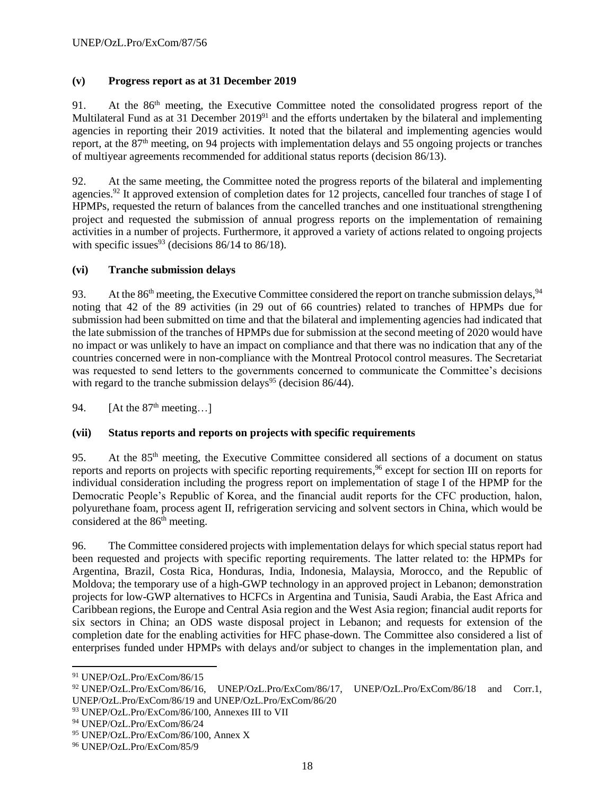# **(v) Progress report as at 31 December 2019**

91. At the 86<sup>th</sup> meeting, the Executive Committee noted the consolidated progress report of the Multilateral Fund as at 31 December 2019<sup>91</sup> and the efforts undertaken by the bilateral and implementing agencies in reporting their 2019 activities. It noted that the bilateral and implementing agencies would report, at the 87<sup>th</sup> meeting, on 94 projects with implementation delays and 55 ongoing projects or tranches of multiyear agreements recommended for additional status reports (decision 86/13).

92. At the same meeting, the Committee noted the progress reports of the bilateral and implementing agencies.<sup>92</sup> It approved extension of completion dates for 12 projects, cancelled four tranches of stage I of HPMPs, requested the return of balances from the cancelled tranches and one instituational strengthening project and requested the submission of annual progress reports on the implementation of remaining activities in a number of projects. Furthermore, it approved a variety of actions related to ongoing projects with specific issues<sup>93</sup> (decisions  $86/14$  to  $86/18$ ).

# **(vi) Tranche submission delays**

93. At the 86<sup>th</sup> meeting, the Executive Committee considered the report on tranche submission delays,  $94$ noting that 42 of the 89 activities (in 29 out of 66 countries) related to tranches of HPMPs due for submission had been submitted on time and that the bilateral and implementing agencies had indicated that the late submission of the tranches of HPMPs due for submission at the second meeting of 2020 would have no impact or was unlikely to have an impact on compliance and that there was no indication that any of the countries concerned were in non-compliance with the Montreal Protocol control measures. The Secretariat was requested to send letters to the governments concerned to communicate the Committee's decisions with regard to the tranche submission delays<sup>95</sup> (decision 86/44).

94.  $[At the 87<sup>th</sup> meeting...]$ 

# **(vii) Status reports and reports on projects with specific requirements**

95. At the 85<sup>th</sup> meeting, the Executive Committee considered all sections of a document on status reports and reports on projects with specific reporting requirements, <sup>96</sup> except for section III on reports for individual consideration including the progress report on implementation of stage I of the HPMP for the Democratic People's Republic of Korea, and the financial audit reports for the CFC production, halon, polyurethane foam, process agent II, refrigeration servicing and solvent sectors in China, which would be considered at the 86<sup>th</sup> meeting.

96. The Committee considered projects with implementation delays for which special status report had been requested and projects with specific reporting requirements. The latter related to: the HPMPs for Argentina, Brazil, Costa Rica, Honduras, India, Indonesia, Malaysia, Morocco, and the Republic of Moldova; the temporary use of a high-GWP technology in an approved project in Lebanon; demonstration projects for low-GWP alternatives to HCFCs in Argentina and Tunisia, Saudi Arabia, the East Africa and Caribbean regions, the Europe and Central Asia region and the West Asia region; financial audit reports for six sectors in China; an ODS waste disposal project in Lebanon; and requests for extension of the completion date for the enabling activities for HFC phase-down. The Committee also considered a list of enterprises funded under HPMPs with delays and/or subject to changes in the implementation plan, and

<sup>91</sup> UNEP/OzL.Pro/ExCom/86/15

<sup>92</sup> UNEP/OzL.Pro/ExCom/86/16, UNEP/OzL.Pro/ExCom/86/17, UNEP/OzL.Pro/ExCom/86/18 and Corr.1, UNEP/OzL.Pro/ExCom/86/19 and UNEP/OzL.Pro/ExCom/86/20

<sup>93</sup> UNEP/OzL.Pro/ExCom/86/100, Annexes III to VII

<sup>94</sup> UNEP/OzL.Pro/ExCom/86/24

<sup>95</sup> UNEP/OzL.Pro/ExCom/86/100, Annex X

<sup>96</sup> UNEP/OzL.Pro/ExCom/85/9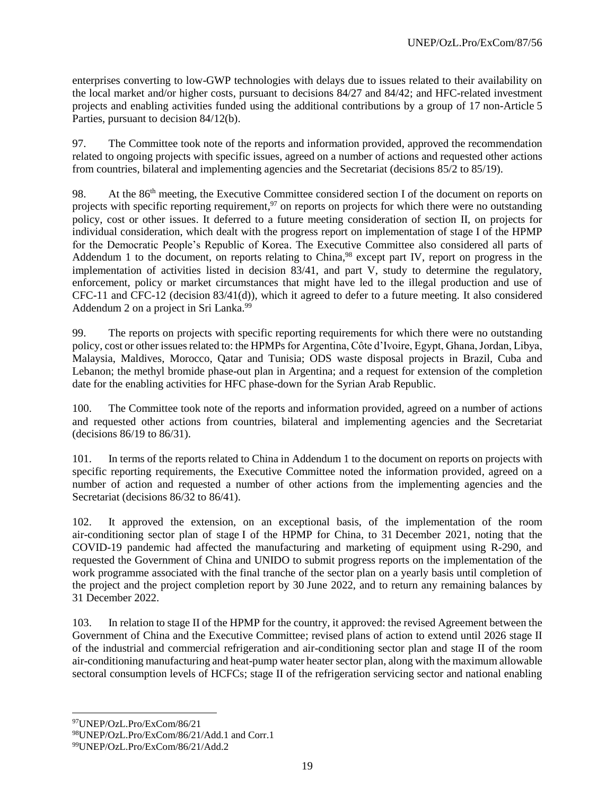enterprises converting to low-GWP technologies with delays due to issues related to their availability on the local market and/or higher costs, pursuant to decisions 84/27 and 84/42; and HFC-related investment projects and enabling activities funded using the additional contributions by a group of 17 non-Article 5 Parties, pursuant to decision 84/12(b).

97. The Committee took note of the reports and information provided, approved the recommendation related to ongoing projects with specific issues, agreed on a number of actions and requested other actions from countries, bilateral and implementing agencies and the Secretariat (decisions 85/2 to 85/19).

98. At the 86<sup>th</sup> meeting, the Executive Committee considered section I of the document on reports on projects with specific reporting requirement,<sup>97</sup> on reports on projects for which there were no outstanding policy, cost or other issues. It deferred to a future meeting consideration of section II, on projects for individual consideration, which dealt with the progress report on implementation of stage I of the HPMP for the Democratic People's Republic of Korea. The Executive Committee also considered all parts of Addendum 1 to the document, on reports relating to China,<sup>98</sup> except part IV, report on progress in the implementation of activities listed in decision 83/41, and part V, study to determine the regulatory, enforcement, policy or market circumstances that might have led to the illegal production and use of CFC-11 and CFC-12 (decision 83/41(d)), which it agreed to defer to a future meeting. It also considered Addendum 2 on a project in Sri Lanka.<sup>99</sup>

99. The reports on projects with specific reporting requirements for which there were no outstanding policy, cost or other issues related to: the HPMPs for Argentina, Côte d'Ivoire, Egypt, Ghana, Jordan, Libya, Malaysia, Maldives, Morocco, Qatar and Tunisia; ODS waste disposal projects in Brazil, Cuba and Lebanon; the methyl bromide phase-out plan in Argentina; and a request for extension of the completion date for the enabling activities for HFC phase-down for the Syrian Arab Republic.

100. The Committee took note of the reports and information provided, agreed on a number of actions and requested other actions from countries, bilateral and implementing agencies and the Secretariat (decisions 86/19 to 86/31).

101. In terms of the reports related to China in Addendum 1 to the document on reports on projects with specific reporting requirements, the Executive Committee noted the information provided, agreed on a number of action and requested a number of other actions from the implementing agencies and the Secretariat (decisions 86/32 to 86/41).

102. It approved the extension, on an exceptional basis, of the implementation of the room air-conditioning sector plan of stage I of the HPMP for China, to 31 December 2021, noting that the COVID-19 pandemic had affected the manufacturing and marketing of equipment using R-290, and requested the Government of China and UNIDO to submit progress reports on the implementation of the work programme associated with the final tranche of the sector plan on a yearly basis until completion of the project and the project completion report by 30 June 2022, and to return any remaining balances by 31 December 2022.

103. In relation to stage II of the HPMP for the country, it approved: the revised Agreement between the Government of China and the Executive Committee; revised plans of action to extend until 2026 stage II of the industrial and commercial refrigeration and air-conditioning sector plan and stage II of the room air-conditioning manufacturing and heat-pump water heater sector plan, along with the maximum allowable sectoral consumption levels of HCFCs; stage II of the refrigeration servicing sector and national enabling

<sup>97</sup>UNEP/OzL.Pro/ExCom/86/21

<sup>98</sup>UNEP/OzL.Pro/ExCom/86/21/Add.1 and Corr.1

<sup>99</sup>UNEP/OzL.Pro/ExCom/86/21/Add.2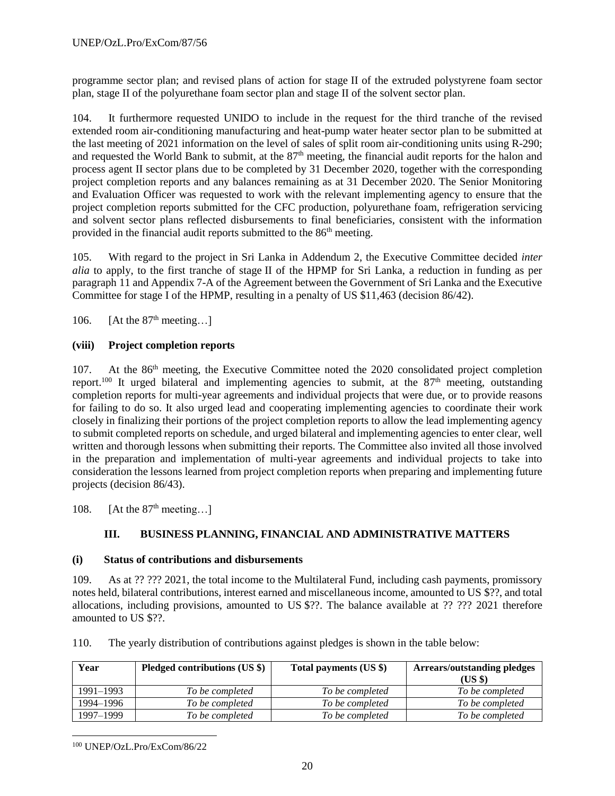programme sector plan; and revised plans of action for stage II of the extruded polystyrene foam sector plan, stage II of the polyurethane foam sector plan and stage II of the solvent sector plan.

104. It furthermore requested UNIDO to include in the request for the third tranche of the revised extended room air-conditioning manufacturing and heat-pump water heater sector plan to be submitted at the last meeting of 2021 information on the level of sales of split room air-conditioning units using R-290; and requested the World Bank to submit, at the 87<sup>th</sup> meeting, the financial audit reports for the halon and process agent II sector plans due to be completed by 31 December 2020, together with the corresponding project completion reports and any balances remaining as at 31 December 2020. The Senior Monitoring and Evaluation Officer was requested to work with the relevant implementing agency to ensure that the project completion reports submitted for the CFC production, polyurethane foam, refrigeration servicing and solvent sector plans reflected disbursements to final beneficiaries, consistent with the information provided in the financial audit reports submitted to the 86<sup>th</sup> meeting.

105. With regard to the project in Sri Lanka in Addendum 2, the Executive Committee decided *inter alia* to apply, to the first tranche of stage II of the HPMP for Sri Lanka, a reduction in funding as per paragraph 11 and Appendix 7-A of the Agreement between the Government of Sri Lanka and the Executive Committee for stage I of the HPMP, resulting in a penalty of US \$11,463 (decision 86/42).

106. [At the  $87<sup>th</sup>$  meeting...]

# **(viii) Project completion reports**

107. At the 86<sup>th</sup> meeting, the Executive Committee noted the 2020 consolidated project completion report.<sup>100</sup> It urged bilateral and implementing agencies to submit, at the  $87<sup>th</sup>$  meeting, outstanding completion reports for multi-year agreements and individual projects that were due, or to provide reasons for failing to do so. It also urged lead and cooperating implementing agencies to coordinate their work closely in finalizing their portions of the project completion reports to allow the lead implementing agency to submit completed reports on schedule, and urged bilateral and implementing agencies to enter clear, well written and thorough lessons when submitting their reports. The Committee also invited all those involved in the preparation and implementation of multi-year agreements and individual projects to take into consideration the lessons learned from project completion reports when preparing and implementing future projects (decision 86/43).

108. [At the  $87<sup>th</sup>$  meeting...]

# **III. BUSINESS PLANNING, FINANCIAL AND ADMINISTRATIVE MATTERS**

### **(i) Status of contributions and disbursements**

109. As at ?? ??? 2021, the total income to the Multilateral Fund, including cash payments, promissory notes held, bilateral contributions, interest earned and miscellaneous income, amounted to US \$??, and total allocations, including provisions, amounted to US \$??. The balance available at ?? ??? 2021 therefore amounted to US \$??.

110. The yearly distribution of contributions against pledges is shown in the table below:

| Year      | Pledged contributions (US \$) | Total payments (US \$) | <b>Arrears/outstanding pledges</b> |
|-----------|-------------------------------|------------------------|------------------------------------|
|           |                               |                        | (USS)                              |
| 1991–1993 | To be completed               | To be completed        | To be completed                    |
| 1994–1996 | To be completed               | To be completed        | To be completed                    |
| 1997–1999 | To be completed               | To be completed        | To be completed                    |

 $\overline{a}$ <sup>100</sup> UNEP/OzL.Pro/ExCom/86/22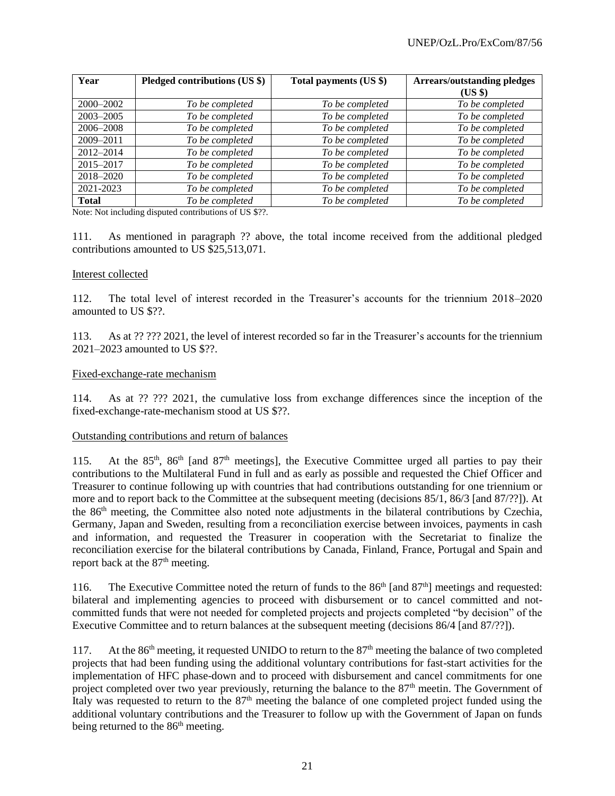| Year          | Pledged contributions (US \$) | Total payments (US \$) | <b>Arrears/outstanding pledges</b> |
|---------------|-------------------------------|------------------------|------------------------------------|
|               |                               |                        | $(US \$                            |
| $2000 - 2002$ | To be completed               | To be completed        | To be completed                    |
| 2003-2005     | To be completed               | To be completed        | To be completed                    |
| 2006-2008     | To be completed               | To be completed        | To be completed                    |
| 2009-2011     | To be completed               | To be completed        | To be completed                    |
| 2012-2014     | To be completed               | To be completed        | To be completed                    |
| 2015-2017     | To be completed               | To be completed        | To be completed                    |
| 2018-2020     | To be completed               | To be completed        | To be completed                    |
| 2021-2023     | To be completed               | To be completed        | To be completed                    |
| <b>Total</b>  | To be completed               | To be completed        | To be completed                    |

Note: Not including disputed contributions of US \$??.

111. As mentioned in paragraph ?? above, the total income received from the additional pledged contributions amounted to US \$25,513,071.

#### Interest collected

112. The total level of interest recorded in the Treasurer's accounts for the triennium 2018–2020 amounted to US \$??.

113. As at ?? ??? 2021, the level of interest recorded so far in the Treasurer's accounts for the triennium 2021–2023 amounted to US \$??.

#### Fixed-exchange-rate mechanism

114. As at ?? ??? 2021, the cumulative loss from exchange differences since the inception of the fixed-exchange-rate-mechanism stood at US \$??.

#### Outstanding contributions and return of balances

115. At the 85<sup>th</sup>, 86<sup>th</sup> [and 87<sup>th</sup> meetings], the Executive Committee urged all parties to pay their contributions to the Multilateral Fund in full and as early as possible and requested the Chief Officer and Treasurer to continue following up with countries that had contributions outstanding for one triennium or more and to report back to the Committee at the subsequent meeting (decisions 85/1, 86/3 [and 87/??]). At the 86<sup>th</sup> meeting, the Committee also noted note adjustments in the bilateral contributions by Czechia, Germany, Japan and Sweden, resulting from a reconciliation exercise between invoices, payments in cash and information, and requested the Treasurer in cooperation with the Secretariat to finalize the reconciliation exercise for the bilateral contributions by Canada, Finland, France, Portugal and Spain and report back at the 87<sup>th</sup> meeting.

116. The Executive Committee noted the return of funds to the 86<sup>th</sup> [and 87<sup>th</sup>] meetings and requested: bilateral and implementing agencies to proceed with disbursement or to cancel committed and notcommitted funds that were not needed for completed projects and projects completed "by decision" of the Executive Committee and to return balances at the subsequent meeting (decisions 86/4 [and 87/??]).

117. At the 86<sup>th</sup> meeting, it requested UNIDO to return to the 87<sup>th</sup> meeting the balance of two completed projects that had been funding using the additional voluntary contributions for fast-start activities for the implementation of HFC phase-down and to proceed with disbursement and cancel commitments for one project completed over two year previously, returning the balance to the 87<sup>th</sup> meetin. The Government of Italy was requested to return to the 87<sup>th</sup> meeting the balance of one completed project funded using the additional voluntary contributions and the Treasurer to follow up with the Government of Japan on funds being returned to the 86<sup>th</sup> meeting.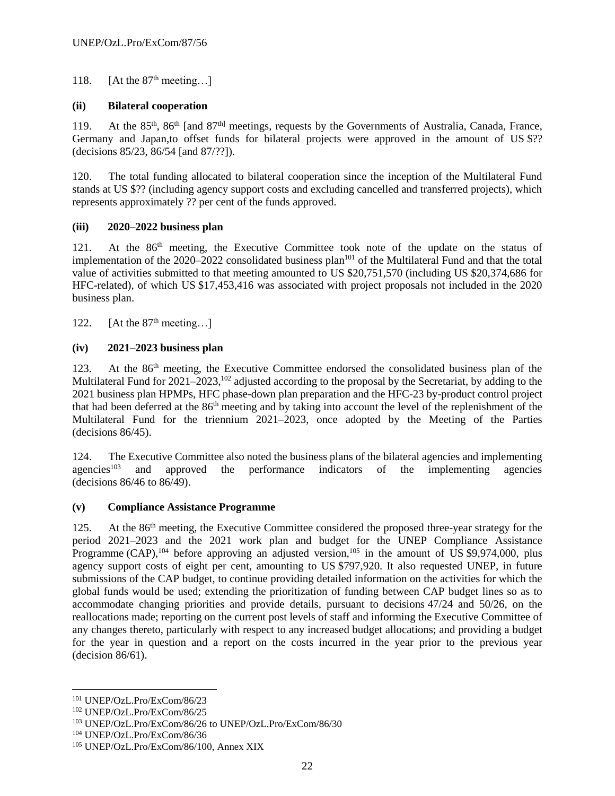118. [At the  $87<sup>th</sup>$  meeting...]

# **(ii) Bilateral cooperation**

119. At the 85<sup>th</sup>, 86<sup>th</sup> [and 87<sup>th]</sup> meetings, requests by the Governments of Australia, Canada, France, Germany and Japan, to offset funds for bilateral projects were approved in the amount of US \$?? (decisions 85/23, 86/54 [and 87/??]).

120. The total funding allocated to bilateral cooperation since the inception of the Multilateral Fund stands at US \$?? (including agency support costs and excluding cancelled and transferred projects), which represents approximately ?? per cent of the funds approved.

# **(iii) 2020–2022 business plan**

121. At the 86<sup>th</sup> meeting, the Executive Committee took note of the update on the status of implementation of the 2020–2022 consolidated business plan<sup>101</sup> of the Multilateral Fund and that the total value of activities submitted to that meeting amounted to US \$20,751,570 (including US \$20,374,686 for HFC-related), of which US \$17,453,416 was associated with project proposals not included in the 2020 business plan.

122. [At the  $87<sup>th</sup>$  meeting...]

# **(iv) 2021–2023 business plan**

123. At the 86<sup>th</sup> meeting, the Executive Committee endorsed the consolidated business plan of the Multilateral Fund for 2021–2023,<sup>102</sup> adjusted according to the proposal by the Secretariat, by adding to the 2021 business plan HPMPs, HFC phase-down plan preparation and the HFC-23 by-product control project that had been deferred at the 86<sup>th</sup> meeting and by taking into account the level of the replenishment of the Multilateral Fund for the triennium 2021–2023, once adopted by the Meeting of the Parties (decisions 86/45).

124. The Executive Committee also noted the business plans of the bilateral agencies and implementing  $a$ gencies<sup>103</sup> and approved the performance indicators of the implementing agencies (decisions 86/46 to 86/49).

# **(v) Compliance Assistance Programme**

125. At the 86<sup>th</sup> meeting, the Executive Committee considered the proposed three-year strategy for the period 2021–2023 and the 2021 work plan and budget for the UNEP Compliance Assistance Programme  $(CAP)$ ,<sup>104</sup> before approving an adjusted version,<sup>105</sup> in the amount of US \$9,974,000, plus agency support costs of eight per cent, amounting to US \$797,920. It also requested UNEP, in future submissions of the CAP budget, to continue providing detailed information on the activities for which the global funds would be used; extending the prioritization of funding between CAP budget lines so as to accommodate changing priorities and provide details, pursuant to decisions 47/24 and 50/26, on the reallocations made; reporting on the current post levels of staff and informing the Executive Committee of any changes thereto, particularly with respect to any increased budget allocations; and providing a budget for the year in question and a report on the costs incurred in the year prior to the previous year (decision 86/61).

 $\overline{\phantom{a}}$ <sup>101</sup> UNEP/OzL.Pro/ExCom/86/23

<sup>102</sup> UNEP/OzL.Pro/ExCom/86/25

<sup>103</sup> UNEP/OzL.Pro/ExCom/86/26 to UNEP/OzL.Pro/ExCom/86/30

<sup>104</sup> UNEP/OzL.Pro/ExCom/86/36

<sup>105</sup> UNEP/OzL.Pro/ExCom/86/100, Annex XIX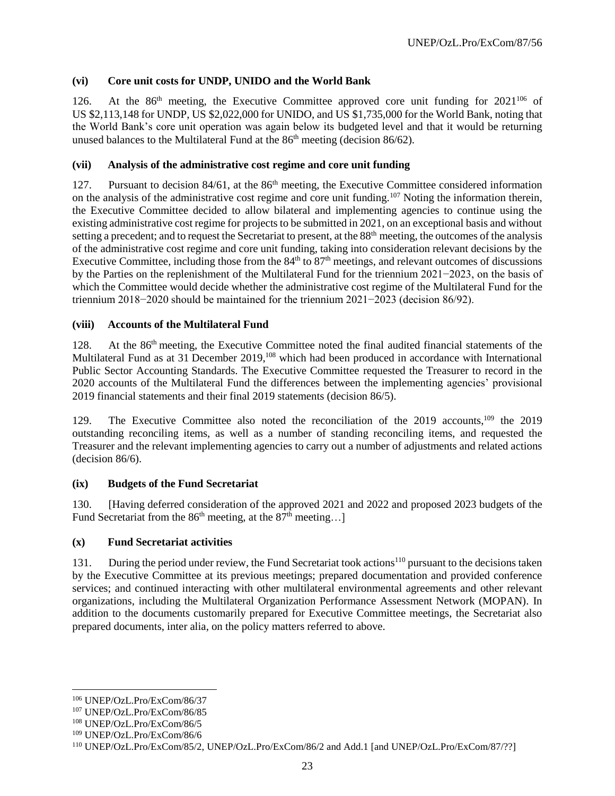# **(vi) Core unit costs for UNDP, UNIDO and the World Bank**

126. At the  $86<sup>th</sup>$  meeting, the Executive Committee approved core unit funding for  $2021<sup>106</sup>$  of US \$2,113,148 for UNDP, US \$2,022,000 for UNIDO, and US \$1,735,000 for the World Bank, noting that the World Bank's core unit operation was again below its budgeted level and that it would be returning unused balances to the Multilateral Fund at the 86<sup>th</sup> meeting (decision 86/62).

# **(vii) Analysis of the administrative cost regime and core unit funding**

127. Pursuant to decision 84/61, at the 86<sup>th</sup> meeting, the Executive Committee considered information on the analysis of the administrative cost regime and core unit funding.<sup>107</sup> Noting the information therein, the Executive Committee decided to allow bilateral and implementing agencies to continue using the existing administrative cost regime for projects to be submitted in 2021, on an exceptional basis and without setting a precedent; and to request the Secretariat to present, at the 88<sup>th</sup> meeting, the outcomes of the analysis of the administrative cost regime and core unit funding, taking into consideration relevant decisions by the Executive Committee, including those from the 84<sup>th</sup> to 87<sup>th</sup> meetings, and relevant outcomes of discussions by the Parties on the replenishment of the Multilateral Fund for the triennium 2021−2023, on the basis of which the Committee would decide whether the administrative cost regime of the Multilateral Fund for the triennium 2018−2020 should be maintained for the triennium 2021−2023 (decision 86/92).

### **(viii) Accounts of the Multilateral Fund**

128. At the 86<sup>th</sup> meeting, the Executive Committee noted the final audited financial statements of the Multilateral Fund as at 31 December 2019,<sup>108</sup> which had been produced in accordance with International Public Sector Accounting Standards. The Executive Committee requested the Treasurer to record in the 2020 accounts of the Multilateral Fund the differences between the implementing agencies' provisional 2019 financial statements and their final 2019 statements (decision 86/5).

129. The Executive Committee also noted the reconciliation of the 2019 accounts,<sup>109</sup> the 2019 outstanding reconciling items, as well as a number of standing reconciling items, and requested the Treasurer and the relevant implementing agencies to carry out a number of adjustments and related actions (decision 86/6).

# **(ix) Budgets of the Fund Secretariat**

130. [Having deferred consideration of the approved 2021 and 2022 and proposed 2023 budgets of the Fund Secretariat from the  $86<sup>th</sup>$  meeting, at the  $87<sup>th</sup>$  meeting...]

### **(x) Fund Secretariat activities**

131. During the period under review, the Fund Secretariat took actions<sup>110</sup> pursuant to the decisions taken by the Executive Committee at its previous meetings; prepared documentation and provided conference services; and continued interacting with other multilateral environmental agreements and other relevant organizations, including the Multilateral Organization Performance Assessment Network (MOPAN). In addition to the documents customarily prepared for Executive Committee meetings, the Secretariat also prepared documents, inter alia, on the policy matters referred to above.

 $\overline{\phantom{a}}$ 

<sup>106</sup> UNEP/OzL.Pro/ExCom/86/37

<sup>107</sup> UNEP/OzL.Pro/ExCom/86/85

<sup>108</sup> UNEP/OzL.Pro/ExCom/86/5

<sup>109</sup> UNEP/OzL.Pro/ExCom/86/6

<sup>110</sup> UNEP/OzL.Pro/ExCom/85/2, UNEP/OzL.Pro/ExCom/86/2 and Add.1 [and UNEP/OzL.Pro/ExCom/87/??]